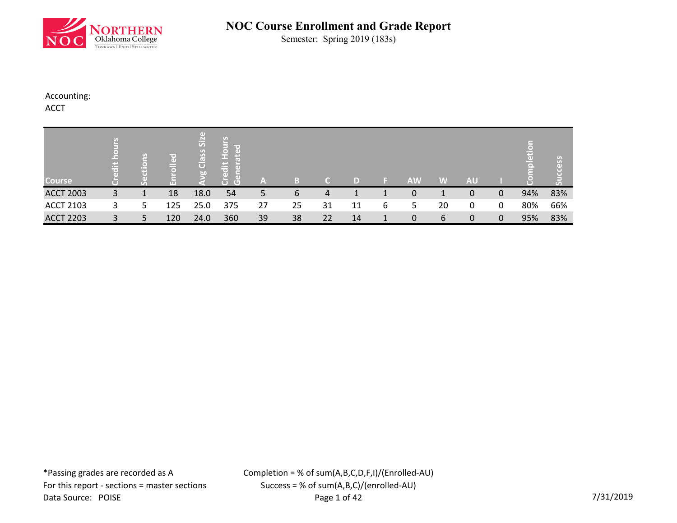

Semester: Spring 2019 (183s)

### Accounting:

ACCT

| <b>Course</b>    | e | S | $\overline{\phantom{a}}$<br>$\overline{a}$ | Гď<br>SiZ<br>Class<br>bn | e<br><b>In</b><br>Œ | A  |    |    | D  |   | <b>AW</b> | W  | <b>AU</b> |   |     |     |
|------------------|---|---|--------------------------------------------|--------------------------|---------------------|----|----|----|----|---|-----------|----|-----------|---|-----|-----|
| <b>ACCT 2003</b> | 3 | 1 | 18                                         | 18.0                     | 54                  | 5  | 6  | 4  |    |   | 0         |    | 0         | 0 | 94% | 83% |
| <b>ACCT 2103</b> | 3 | 5 | 125                                        | 25.0                     | 375                 | 27 | 25 | 31 | 11 | 6 | 5         | 20 | 0         | 0 | 80% | 66% |
| <b>ACCT 2203</b> | 3 | 5 | 120                                        | 24.0                     | 360                 | 39 | 38 | 22 | 14 | 1 | 0         | 6  | 0         | 0 | 95% | 83% |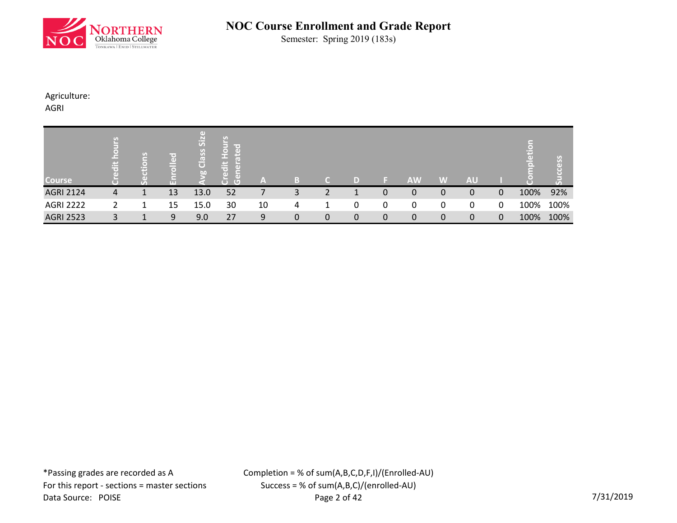

Semester: Spring 2019 (183s)

Agriculture:

AGRI

| <b>Course</b>    | $\equiv$ | ဥ<br>$\left( \text{ }_{\text{}}\right)$ | T Oʻ<br>$\left( \right)$<br>ш | $\left( \mathrm{d} \right)$<br>SiZ<br>Class<br>b <sub>0</sub> | lir oʻ<br>E<br>(G<br>۰ | A  |   |   | ID)         |   | <b>AW</b> | W | <b>AU</b> |   |      |      |
|------------------|----------|-----------------------------------------|-------------------------------|---------------------------------------------------------------|------------------------|----|---|---|-------------|---|-----------|---|-----------|---|------|------|
| <b>AGRI 2124</b> | 4        | 1                                       | 13                            | 13.0                                                          | 52                     |    | 3 | っ |             | 0 | 0         | 0 | 0         | 0 | 100% | 92%  |
| <b>AGRI 2222</b> |          | 1                                       | 15                            | 15.0                                                          | 30                     | 10 | 4 |   | 0           | 0 | 0         | 0 | 0         | 0 | 100% | 100% |
| <b>AGRI 2523</b> |          |                                         | 9                             | 9.0                                                           | 27                     | 9  | 0 | 0 | $\mathbf 0$ | 0 | 0         | 0 | 0         | 0 | 100% | 100% |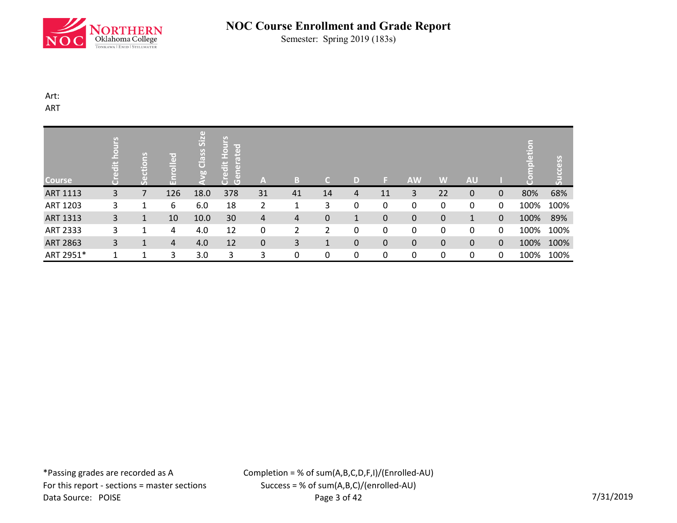

Semester: Spring 2019 (183s)

Art: ART

| <b>Course</b>   | <u>ع</u><br>dit | $ \tilde{\Xi} $<br>E | olled<br>m | Class Size<br>$\overline{50}$ | Hours<br>ated<br>Credit<br>$\tilde{5}$<br>Ğ | A                | B.             | C. | D |             | <b>AW</b>   | W                | <b>AU</b>   |              | $\overline{5}$<br><b>pletic</b> | ccess<br>$\overline{5}$ |
|-----------------|-----------------|----------------------|------------|-------------------------------|---------------------------------------------|------------------|----------------|----|---|-------------|-------------|------------------|-------------|--------------|---------------------------------|-------------------------|
| ART 1113        | 3               | 7                    | 126        | 18.0                          | 378                                         | 31               | 41             | 14 | 4 | 11          | 3           | 22               | 0           | $\mathbf{0}$ | 80%                             | 68%                     |
| ART 1203        | 3               | 1                    | 6          | 6.0                           | 18                                          | 2                | 1              | 3  | 0 | 0           | 0           | 0                | 0           | 0            | 100%                            | 100%                    |
| <b>ART 1313</b> | 3               | 1                    | 10         | 10.0                          | 30                                          | 4                | $\overline{4}$ | 0  | 1 | $\pmb{0}$   | $\mathbf 0$ | $\mathbf 0$      | 1           | $\mathbf{0}$ | 100%                            | 89%                     |
| ART 2333        | 3               | 1                    | 4          | 4.0                           | 12                                          | 0                | $\mathcal{P}$  | 2  | 0 | 0           | 0           | 0                | 0           | 0            | 100%                            | 100%                    |
| <b>ART 2863</b> | 3               | 1                    | 4          | 4.0                           | 12                                          | $\boldsymbol{0}$ | 3              | 1  | 0 | $\mathbf 0$ | $\mathbf 0$ | $\boldsymbol{0}$ | $\mathbf 0$ | $\mathbf 0$  | 100%                            | 100%                    |
| ART 2951*       |                 | 1                    | 3          | 3.0                           | 3                                           | 3                | 0              | 0  | 0 | 0           | 0           | 0                | 0           | 0            | 100%                            | 100%                    |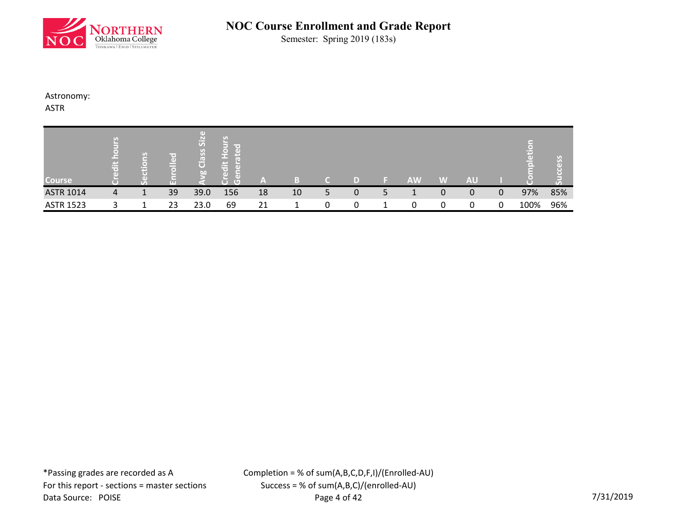

Semester: Spring 2019 (183s)

Astronomy:

ASTR

| <b>Course</b>    |   | $\sigma$ | ir e'<br>$\left( \mathbf{d} \right)$<br>ᆮ<br>ш | Si <sub>2</sub><br>Class<br>50 <sub>o</sub> | le et<br>ΓĸΙ<br>$\pm$<br>пF<br>٠D<br>$\overline{G}$ | ′≞' |    |    |   |   | <b>AW</b> | W | <b>AU</b> |   |      |     |
|------------------|---|----------|------------------------------------------------|---------------------------------------------|-----------------------------------------------------|-----|----|----|---|---|-----------|---|-----------|---|------|-----|
| <b>ASTR 1014</b> | 4 | 1        | 39                                             | 39.0                                        | 156                                                 | 18  | 10 | 5. | 0 | 5 | л.        | 0 | 0         | 0 | 97%  | 85% |
| <b>ASTR 1523</b> |   |          | 23                                             | 23.0                                        | 69                                                  | 21  |    | 0  | 0 |   |           | 0 | 0         | 0 | 100% | 96% |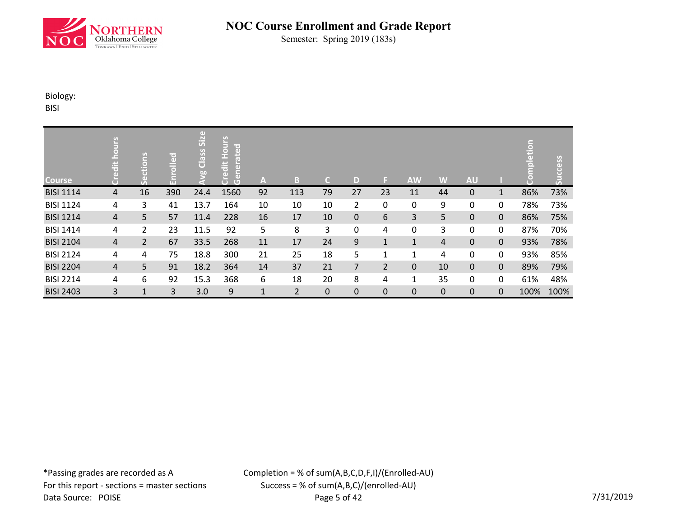

Semester: Spring 2019 (183s)

Biology:

BISI

| <b>Course</b>    | ours<br>edit ho<br>5 | ctions<br>ق<br>و | Enrolled | vg Class Size | Hours<br>loate<br>Credit<br>$\overline{a}$<br><b>Gene</b> | Α            | В              | $\mathsf{C}$ | D              | ы              | <b>AW</b>    | W                | <b>AU</b> |              | etion<br>$\overline{\bullet}$ | cess<br>3 |
|------------------|----------------------|------------------|----------|---------------|-----------------------------------------------------------|--------------|----------------|--------------|----------------|----------------|--------------|------------------|-----------|--------------|-------------------------------|-----------|
| <b>BISI 1114</b> | $\overline{4}$       | 16               | 390      | 24.4          | 1560                                                      | 92           | 113            | 79           | 27             | 23             | 11           | 44               | 0         | $\mathbf{1}$ | 86%                           | 73%       |
| <b>BISI 1124</b> | 4                    | 3                | 41       | 13.7          | 164                                                       | 10           | 10             | 10           | $\overline{2}$ | 0              | 0            | 9                | 0         | 0            | 78%                           | 73%       |
| <b>BISI 1214</b> | $\overline{4}$       | 5                | 57       | 11.4          | 228                                                       | 16           | 17             | 10           | $\mathbf 0$    | 6              | 3            | 5                | 0         | $\mathbf{0}$ | 86%                           | 75%       |
| <b>BISI 1414</b> | 4                    | 2                | 23       | 11.5          | 92                                                        | 5            | 8              | 3            | $\mathbf 0$    | 4              | 0            | 3                | 0         | 0            | 87%                           | 70%       |
| <b>BISI 2104</b> | $\overline{4}$       | $\overline{2}$   | 67       | 33.5          | 268                                                       | 11           | 17             | 24           | 9              | $\mathbf{1}$   | $\mathbf 1$  | $\overline{4}$   | 0         | $\mathbf{0}$ | 93%                           | 78%       |
| <b>BISI 2124</b> | 4                    | 4                | 75       | 18.8          | 300                                                       | 21           | 25             | 18           | 5              | 1              | 1            | 4                | 0         | 0            | 93%                           | 85%       |
| <b>BISI 2204</b> | $\overline{4}$       | 5                | 91       | 18.2          | 364                                                       | 14           | 37             | 21           | 7              | $\overline{2}$ | $\mathbf 0$  | 10               | 0         | $\mathbf{0}$ | 89%                           | 79%       |
| <b>BISI 2214</b> | 4                    | 6                | 92       | 15.3          | 368                                                       | 6            | 18             | 20           | 8              | 4              | $\mathbf{1}$ | 35               | 0         | 0            | 61%                           | 48%       |
| <b>BISI 2403</b> | 3                    | $\mathbf{1}$     | 3        | 3.0           | 9                                                         | $\mathbf{1}$ | $\overline{2}$ | 0            | $\mathbf 0$    | 0              | $\mathbf 0$  | $\boldsymbol{0}$ | 0         | $\mathbf{0}$ | 100%                          | 100%      |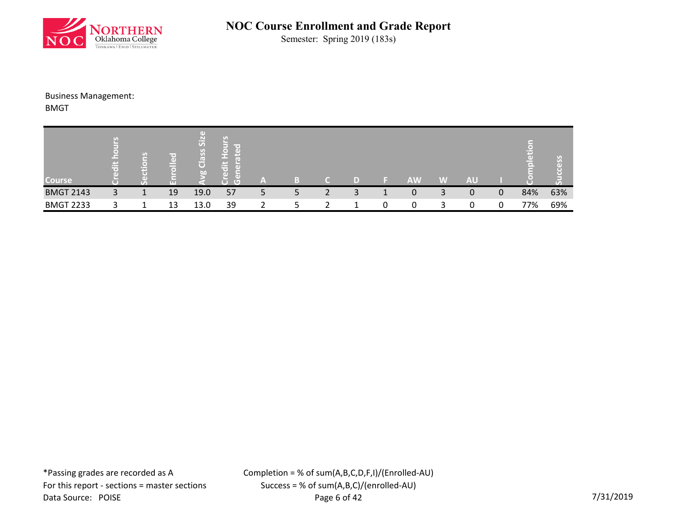

Semester: Spring 2019 (183s)

### Business Management:

BMGT

| <b>Course</b>    |   | v, | $\overline{ }$<br>(D)<br>ш | Siz<br>U)<br>$\mathbf{v}$<br>$\sqrt{2}$<br>$\overline{O}$<br>b <sub>0</sub> | ۰D<br>$\sqrt{2}$ | A |    |   |   | <b>AW</b> | W | <b>AU</b> |   |     |     |
|------------------|---|----|----------------------------|-----------------------------------------------------------------------------|------------------|---|----|---|---|-----------|---|-----------|---|-----|-----|
| <b>BMGT 2143</b> | 3 | 1  | 19                         | 19.0                                                                        | 57               | Ь | 5. | 2 | 3 | 0         | 3 | 0         | 0 | 84% | 63% |
| <b>BMGT 2233</b> |   |    | 13                         | 13.0                                                                        | 39               |   |    |   |   | 0         | 3 |           |   | 77% | 69% |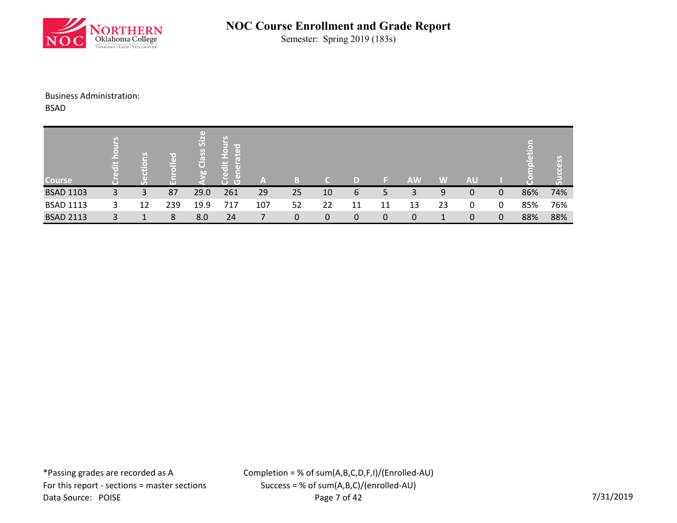

Semester: Spring 2019 (183s)

#### Business Administration:

BSAD

| <b>Course</b>    | Ħ |    | lice d<br>$\frac{a}{\pm}$<br>o<br>m | Œ<br>SiZ<br>Class<br>$\overline{D}$ | ⊢<br>and the local<br>│♀<br>│₹<br>$\overline{a}$<br>m.<br>edit<br>$\Box$<br>$\overline{G}$<br>σ | A   |    |    | D  |    | <b>AW</b> | W  | <b>AU</b> |   |     |     |
|------------------|---|----|-------------------------------------|-------------------------------------|-------------------------------------------------------------------------------------------------|-----|----|----|----|----|-----------|----|-----------|---|-----|-----|
| <b>BSAD 1103</b> | 3 | 3  | 87                                  | 29.0                                | 261                                                                                             | 29  | 25 | 10 | 6  | 5  | 3         | 9  | 0         | 0 | 86% | 74% |
| <b>BSAD 1113</b> | 3 | 12 | 239                                 | 19.9                                | 717                                                                                             | 107 | 52 | 22 | 11 | 11 | 13        | 23 | 0         | 0 | 85% | 76% |
| <b>BSAD 2113</b> | 3 |    | 8                                   | 8.0                                 | 24                                                                                              |     | 0  | 0  | 0  | 0  | 0         | 1  | 0         | 0 | 88% | 88% |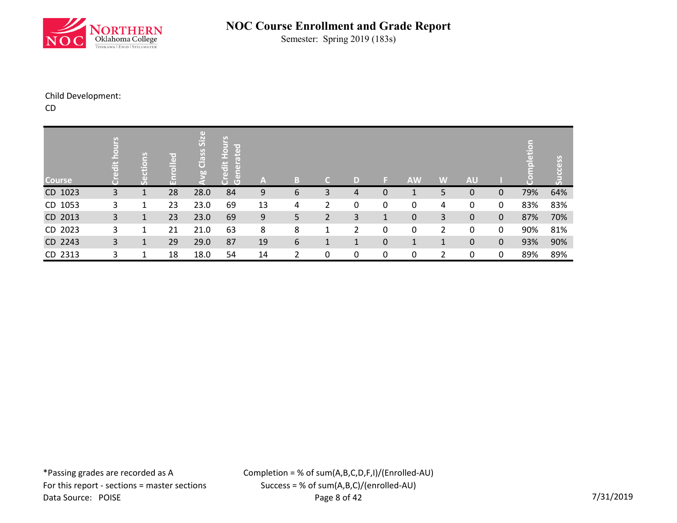

Semester: Spring 2019 (183s)

### Child Development:

CD

| <b>Course</b> | μ<br>edit ho | ctions | <b>pello</b> | g Class Size | <b>Credit Hours</b><br>loate<br>$\left( \mathbf{d} \right)$<br>$\tilde{5}$<br>$\overline{G}$ | IA, | B | C. | D            | ы            | <b>AW</b>    | W              | <b>AU</b>   |              | ō<br>τŪ | <u>w</u> |
|---------------|--------------|--------|--------------|--------------|----------------------------------------------------------------------------------------------|-----|---|----|--------------|--------------|--------------|----------------|-------------|--------------|---------|----------|
| CD 1023       | 3            | 1      | 28           | 28.0         | 84                                                                                           | 9   | 6 | 3  | 4            | 0            | $\mathbf{1}$ | 5              | $\mathbf 0$ | $\mathbf{0}$ | 79%     | 64%      |
| CD 1053       | 3            | 1      | 23           | 23.0         | 69                                                                                           | 13  | 4 | 2  | 0            | 0            | 0            | 4              | 0           | 0            | 83%     | 83%      |
| CD 2013       | 3            | 1      | 23           | 23.0         | 69                                                                                           | 9   | 5 | 2  | 3            | $\mathbf{1}$ | $\pmb{0}$    | 3              | 0           | $\mathbf{0}$ | 87%     | 70%      |
| CD 2023       | 3            | 1      | 21           | 21.0         | 63                                                                                           | 8   | 8 | 1  | 2            | 0            | 0            | $\overline{2}$ | 0           | 0            | 90%     | 81%      |
| CD 2243       | 3            | 1      | 29           | 29.0         | 87                                                                                           | 19  | 6 | 1  | $\mathbf{1}$ | $\mathbf 0$  | $\mathbf{1}$ | $\mathbf{1}$   | $\pmb{0}$   | $\mathbf 0$  | 93%     | 90%      |
| CD 2313       | 3            |        | 18           | 18.0         | 54                                                                                           | 14  | 2 | 0  | 0            | 0            | 0            | $\overline{2}$ | 0           | 0            | 89%     | 89%      |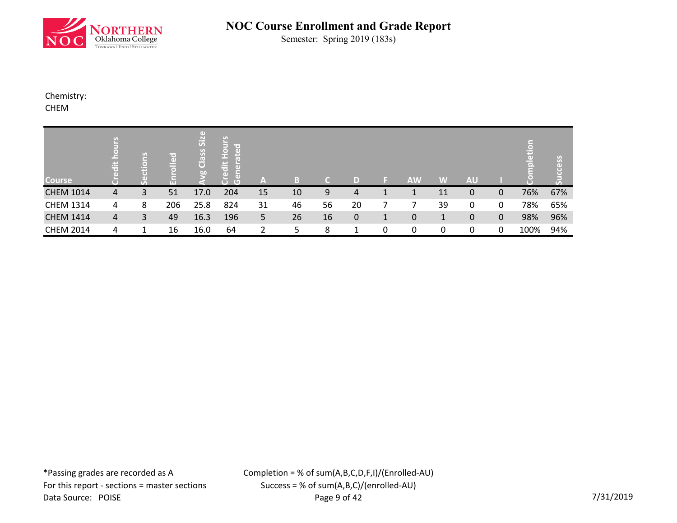

Semester: Spring 2019 (183s)

Chemistry:

CHEM

| <b>Course</b>    | £,<br>$\ddot{a}$ | tions    | $\overline{\phantom{a}}$ | $\left( \mathrm{d} \right)$<br>Siz<br>Class<br>bo | ਸ਼<br>$\ddot{\bar{a}}$<br>Πī<br>τ<br>$\overline{C}$ | A  | Ы  |    |             |   | <b>AW</b> | W            | <b>AU</b> |             | н    | ပ္ပ |
|------------------|------------------|----------|--------------------------|---------------------------------------------------|-----------------------------------------------------|----|----|----|-------------|---|-----------|--------------|-----------|-------------|------|-----|
| <b>CHEM 1014</b> | 4                | Un.<br>3 | п<br>51                  | 17.0                                              | 204                                                 | 15 | 10 | 9  | 4           | 1 |           | 11           | 0         | 0           | 76%  | 67% |
| <b>CHEM 1314</b> | 4                | 8        | 206                      | 25.8                                              | 824                                                 | 31 | 46 | 56 | 20          |   |           | 39           | 0         | 0           | 78%  | 65% |
| <b>CHEM 1414</b> | 4                | 3        | 49                       | 16.3                                              | 196                                                 | 5  | 26 | 16 | $\mathbf 0$ | 1 | 0         | $\mathbf{1}$ | 0         | $\mathbf 0$ | 98%  | 96% |
| <b>CHEM 2014</b> | 4                | 1        | 16                       | 16.0                                              | 64                                                  | ำ  | 5  | 8  | 1           | 0 | 0         | 0            | 0         | 0           | 100% | 94% |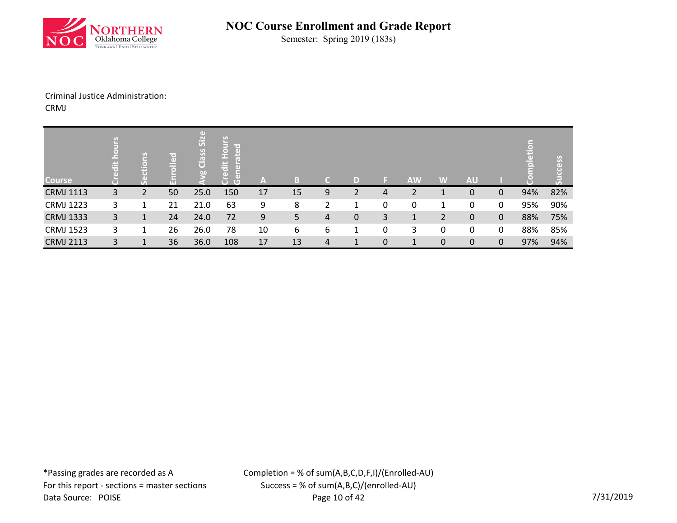

Semester: Spring 2019 (183s)

#### Criminal Justice Administration: CRMJ

| <b>Course</b>    | <u>ខ</u><br>ät | $\sigma$ | olled<br>m | Class Size<br><b>bo</b> | <b>Hours</b><br>ated<br>edit<br>$\tilde{5}$<br>ŏ<br>Ğ | A  | B  | C. | D            | ы         | <b>AW</b>    | W | <b>AU</b> |              | $\overline{c}$<br><b>npletic</b> | cess |
|------------------|----------------|----------|------------|-------------------------|-------------------------------------------------------|----|----|----|--------------|-----------|--------------|---|-----------|--------------|----------------------------------|------|
| <b>CRMJ 1113</b> | 3              | 2        | 50         | 25.0                    | 150                                                   | 17 | 15 | 9  | 2            | 4         | 2            | 1 | 0         | 0            | 94%                              | 82%  |
| <b>CRMJ 1223</b> | 3              | 1        | 21         | 21.0                    | 63                                                    | 9  | 8  | 2  | 1            | 0         | $\mathbf 0$  | 1 | 0         | 0            | 95%                              | 90%  |
| <b>CRMJ 1333</b> | 3              | 1        | 24         | 24.0                    | 72                                                    | 9  | 5. | 4  | 0            | 3         | 1            | 2 | 0         | $\mathbf 0$  | 88%                              | 75%  |
| <b>CRMJ 1523</b> | 3              | 1        | 26         | 26.0                    | 78                                                    | 10 | 6  | 6  | $\mathbf{1}$ | 0         | 3            | 0 | 0         | 0            | 88%                              | 85%  |
| <b>CRMJ 2113</b> | 3              | 1        | 36         | 36.0                    | 108                                                   | 17 | 13 | 4  | 1            | $\pmb{0}$ | $\mathbf{1}$ | 0 | 0         | $\mathbf{0}$ | 97%                              | 94%  |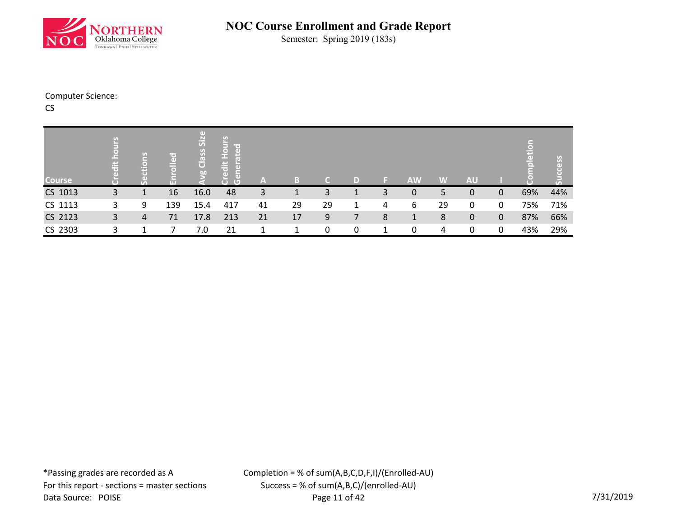

Semester: Spring 2019 (183s)

### Computer Science:

CS

| <b>Course</b> | ĕ<br>$\ddot{a}$ | 임<br><u>م.</u> | pello<br>ш | O)<br>Class Siz<br>$\overline{50}$ | $rac{1}{2}$<br>$\overline{\phantom{a}}$<br>$\overline{a}$<br>m<br>lait<br>नि<br>$\overline{5}$<br>Б<br>$\overline{G}$ | A  | B  | T CH | D |   | <b>AW</b> | W  | <b>AU</b>   |             | Ë   | Y.  |
|---------------|-----------------|----------------|------------|------------------------------------|-----------------------------------------------------------------------------------------------------------------------|----|----|------|---|---|-----------|----|-------------|-------------|-----|-----|
| CS 1013       | 3               | 1              | 16         | 16.0                               | 48                                                                                                                    | 3  |    | 3    | 1 | 3 | 0         | 5  | 0           | $\mathbf 0$ | 69% | 44% |
| CS 1113       | 3               | 9              | 139        | 15.4                               | 417                                                                                                                   | 41 | 29 | 29   | 1 | 4 | 6         | 29 | 0           | 0           | 75% | 71% |
| CS 2123       | 3               | 4              | 71         | 17.8                               | 213                                                                                                                   | 21 | 17 | 9    | 7 | 8 | 1         | 8  | $\mathbf 0$ | $\mathbf 0$ | 87% | 66% |
| CS 2303       | 3               |                |            | 7.0                                | 21                                                                                                                    |    |    | 0    | 0 | 1 | 0         | 4  | 0           | 0           | 43% | 29% |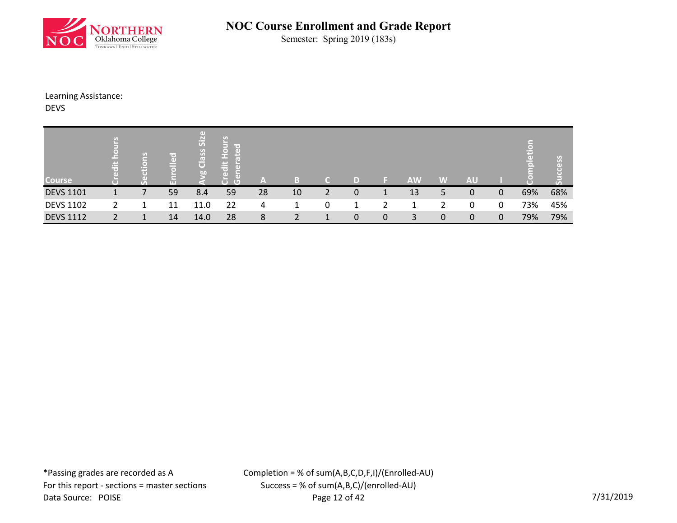

Semester: Spring 2019 (183s)

Learning Assistance:

DEVS

| <b>Course</b>    | c,<br>ä | $\overline{S}$<br>$\left($ $\right)$<br>ю<br>$\sigma_{\rm A}$ | O)<br>--<br><b>TELE</b> | SiZ<br>Class<br>b0 | ÷<br>æ<br>$\blacksquare$ | A  |    |                |             |   | <b>AW</b> | W           | <b>AU</b> |             |     |     |
|------------------|---------|---------------------------------------------------------------|-------------------------|--------------------|--------------------------|----|----|----------------|-------------|---|-----------|-------------|-----------|-------------|-----|-----|
| <b>DEVS 1101</b> | 1       |                                                               | 59                      | 8.4                | 59                       | 28 | 10 | $\overline{2}$ | $\mathbf 0$ | 1 | 13        | 5           | 0         | 0           | 69% | 68% |
| <b>DEVS 1102</b> |         | ᅩ                                                             | 11                      | 11.0               | 22                       | 4  |    | 0              | 1           |   |           |             | 0         | 0           | 73% | 45% |
| <b>DEVS 1112</b> |         | 1                                                             | 14                      | 14.0               | 28                       | 8  |    | 1              | $\mathbf 0$ | 0 | 3         | $\mathbf 0$ | 0         | $\mathbf 0$ | 79% | 79% |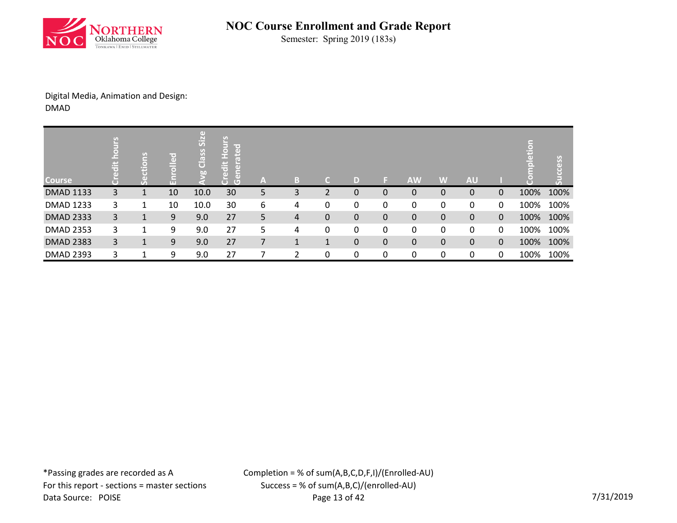

Semester: Spring 2019 (183s)

### Digital Media, Animation and Design: DMAD

| <b>Course</b>    | <u>م</u><br>$\frac{1}{5}$ | 19 | ဥ<br>m | (d)<br>Class Siz<br>bo | <b>Hours</b><br>ated<br>Credit<br>$\tilde{5}$<br>Ğ | /AV | B            | a            | D | E.          | <b>AW</b>    | W            | <b>AU</b> |              | pletion | cess      |
|------------------|---------------------------|----|--------|------------------------|----------------------------------------------------|-----|--------------|--------------|---|-------------|--------------|--------------|-----------|--------------|---------|-----------|
| <b>DMAD 1133</b> | 3                         |    | 10     | 10.0                   | 30                                                 | 5   | 3            | 2            | 0 | $\mathbf 0$ | $\mathbf{0}$ | 0            | 0         | $\mathbf{0}$ | 100%    | 100%      |
| <b>DMAD 1233</b> | 3                         |    | 10     | 10.0                   | 30                                                 | 6   | 4            | 0            | 0 | 0           | 0            | 0            | 0         | 0            | 100%    | 100%      |
| <b>DMAD 2333</b> | 3                         | 1  | 9      | 9.0                    | 27                                                 | 5   | 4            | 0            | 0 | $\pmb{0}$   | $\pmb{0}$    | 0            | 0         | $\mathbf 0$  |         | 100% 100% |
| <b>DMAD 2353</b> | 3                         | 1  | 9      | 9.0                    | 27                                                 | 5   | 4            | 0            | 0 | 0           | 0            | 0            | 0         | 0            | 100%    | 100%      |
| <b>DMAD 2383</b> | 3                         | 1  | 9      | 9.0                    | 27                                                 | 7   | $\mathbf{1}$ | $\mathbf{1}$ | 0 | $\pmb{0}$   | $\mathbf 0$  | $\mathbf{0}$ | 0         | $\mathbf{0}$ | 100%    | 100%      |
| <b>DMAD 2393</b> | 3                         |    | 9      | 9.0                    | 27                                                 |     | າ            | 0            | 0 | 0           | 0            | 0            | 0         | 0            | 100%    | 100%      |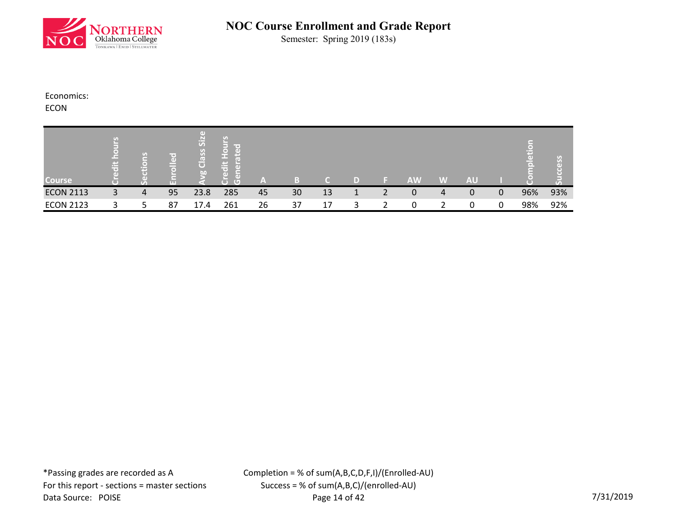

Semester: Spring 2019 (183s)

Economics:

ECON

| <b>Course</b>    |   | U) | le e<br>$\Box$<br><b>LTT</b> | ΠT<br>Si <sub>2</sub><br>S<br>Clas.<br>b <sub>0</sub> | le et<br>œ<br>īΘ,<br>rG. | $\equiv$ |    |    | D) | <b>AW</b> | W | <b>AU</b> |   | т<br>$\sigma$ |     |
|------------------|---|----|------------------------------|-------------------------------------------------------|--------------------------|----------|----|----|----|-----------|---|-----------|---|---------------|-----|
| <b>ECON 2113</b> | 3 | 4  | 95                           | 23.8                                                  | 285                      | 45       | 30 | 13 |    | 0         | 4 | 0         | 0 | 96%           | 93% |
| <b>ECON 2123</b> |   |    | 87                           | 17.4                                                  | 261                      | 26       | 37 | 17 |    | 0         |   | 0         | 0 | 98%           | 92% |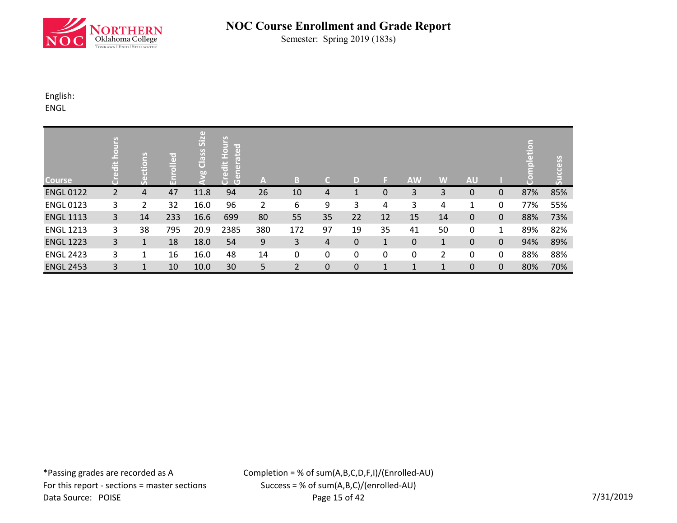

Semester: Spring 2019 (183s)

English:

ENGL

| <b>Course</b>    | $\frac{1}{2}$  | ctions<br>တိ | olled<br>문 | vg Class Size | <b>Hours</b><br><b>Deat</b><br>edit<br>ā<br>Œ<br>$\overline{C}$ | A              | $\mathbb{B}$ | C.               | D                | ы            | <b>AW</b>    | W            | <b>AU</b>    |              | $\overline{\bullet}$<br>ã | ess |
|------------------|----------------|--------------|------------|---------------|-----------------------------------------------------------------|----------------|--------------|------------------|------------------|--------------|--------------|--------------|--------------|--------------|---------------------------|-----|
| <b>ENGL 0122</b> | $\overline{2}$ | 4            | 47         | 11.8          | 94                                                              | 26             | 10           | 4                | $\mathbf{1}$     | $\mathbf 0$  | 3            | 3            | 0            | $\mathbf{0}$ | 87%                       | 85% |
| <b>ENGL 0123</b> | 3              | 2            | 32         | 16.0          | 96                                                              | $\overline{2}$ | 6            | 9                | 3                | 4            | 3            | 4            | 1            | 0            | 77%                       | 55% |
| <b>ENGL 1113</b> | 3              | 14           | 233        | 16.6          | 699                                                             | 80             | 55           | 35               | 22               | 12           | 15           | 14           | 0            | $\mathbf{0}$ | 88%                       | 73% |
| <b>ENGL 1213</b> | 3              | 38           | 795        | 20.9          | 2385                                                            | 380            | 172          | 97               | 19               | 35           | 41           | 50           | 0            | 1            | 89%                       | 82% |
| <b>ENGL 1223</b> | 3              | $\mathbf{1}$ | 18         | 18.0          | 54                                                              | 9              | 3            | 4                | $\boldsymbol{0}$ | $\mathbf{1}$ | $\mathbf 0$  | $\mathbf{1}$ | $\mathbf{0}$ | $\mathbf 0$  | 94%                       | 89% |
| <b>ENGL 2423</b> | 3              | 1            | 16         | 16.0          | 48                                                              | 14             | 0            | 0                | 0                | 0            | 0            | 2            | 0            | $\mathbf{0}$ | 88%                       | 88% |
| <b>ENGL 2453</b> | 3              | $\mathbf{1}$ | 10         | 10.0          | 30                                                              | 5              | 2            | $\boldsymbol{0}$ | $\boldsymbol{0}$ | $\mathbf{1}$ | $\mathbf{1}$ | $\mathbf{1}$ | 0            | $\mathbf 0$  | 80%                       | 70% |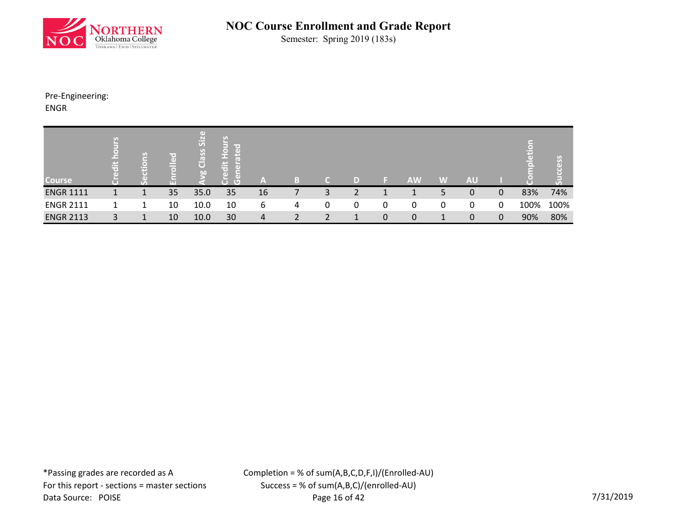

Semester: Spring 2019 (183s)

Pre-Engineering: ENGR

| <b>Course</b>    | Æ.<br>ᄫ | m | ir o i<br>$\omega$<br>⋿<br>o<br>ш | $\left( \mathbf{d} \right)$<br>Class Size<br>$\overline{50}$ | ပ္ပ<br>$\overline{5}$ $\overline{6}$<br>$\overline{O}$<br>- 61<br>信<br>$\ddot{a}$<br>ंत<br>$\overline{a}$<br>高<br>$\overline{(\mathbb{U})}$<br>$\overline{\mathbf{C}}$ | ۱â             |   | C. | D |   | <b>AW</b>   | W | <b>AU</b> |              | $\ddot{a}$<br>$\bar{\mathbf{p}}$ | $\Box$ |
|------------------|---------|---|-----------------------------------|--------------------------------------------------------------|------------------------------------------------------------------------------------------------------------------------------------------------------------------------|----------------|---|----|---|---|-------------|---|-----------|--------------|----------------------------------|--------|
| <b>ENGR 1111</b> |         |   | 35                                | 35.0                                                         | 35                                                                                                                                                                     | 16             |   | 3  | 2 |   |             | 5 | 0         | $\mathbf{0}$ | 83%                              | 74%    |
| <b>ENGR 2111</b> |         | 1 | 10                                | 10.0                                                         | 10                                                                                                                                                                     | 6              | 4 | 0  | 0 | 0 | 0           | 0 | 0         | 0            | 100%                             | 100%   |
| <b>ENGR 2113</b> | 3       |   | 10                                | 10.0                                                         | 30                                                                                                                                                                     | $\overline{4}$ |   |    |   | 0 | $\mathbf 0$ | ᅩ | 0         | $\mathbf{0}$ | 90%                              | 80%    |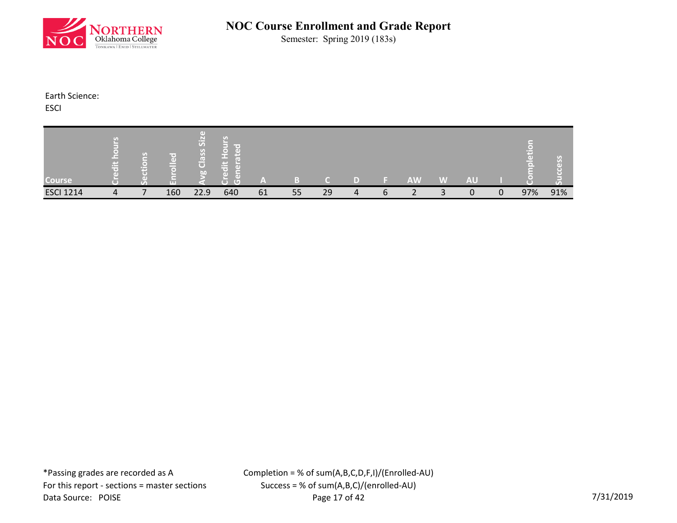

Semester: Spring 2019 (183s)

Earth Science:

**ESCI** 

| <b>Course</b>    | <b>Property</b> | $\mathcal{G}$<br>$\circ$<br>m | r or<br>(eD) | <b>GD</b><br>Siz<br>S <sub>o</sub><br>œ<br>$\overline{C}$<br>b | $\overline{G}$<br>$\blacksquare$ | m  |    |    |                |   | <b>AW</b> | W | <b>AU</b> |             |     |     |
|------------------|-----------------|-------------------------------|--------------|----------------------------------------------------------------|----------------------------------|----|----|----|----------------|---|-----------|---|-----------|-------------|-----|-----|
| <b>ESCI 1214</b> | 4               |                               | 160          | 22.9                                                           | 640                              | 61 | 55 | 29 | $\overline{4}$ | 6 | ⌒         |   | $\Omega$  | $\mathbf 0$ | 97% | 91% |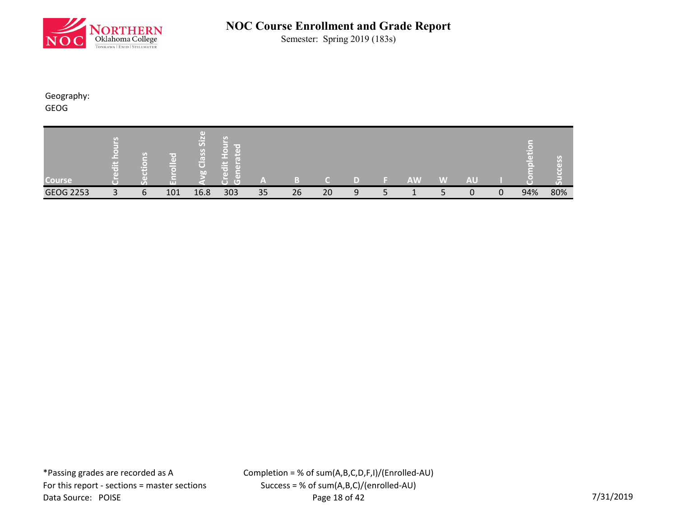

Semester: Spring 2019 (183s)

Geography:

GEOG

| <b>Course</b>    | 7.1<br><u>( — </u><br>E | $\sigma$<br>m | m   | $\left( \mathrm{d}\right)$<br>$\frac{1}{25}$<br>S <sub>o</sub><br>(د)<br>$\overline{C}$<br>Lan <sup>1</sup> | Œ<br>τ | ľ٨ |    |    |   | <b>AW</b> | W | <b>AU</b> |   |     | $\sigma$ a |
|------------------|-------------------------|---------------|-----|-------------------------------------------------------------------------------------------------------------|--------|----|----|----|---|-----------|---|-----------|---|-----|------------|
| <b>GEOG 2253</b> | $\mathbf{r}$            | 6             | 101 | 16.8                                                                                                        | 303    | 35 | 26 | 20 | 9 |           |   | 0         | 0 | 94% | 80%        |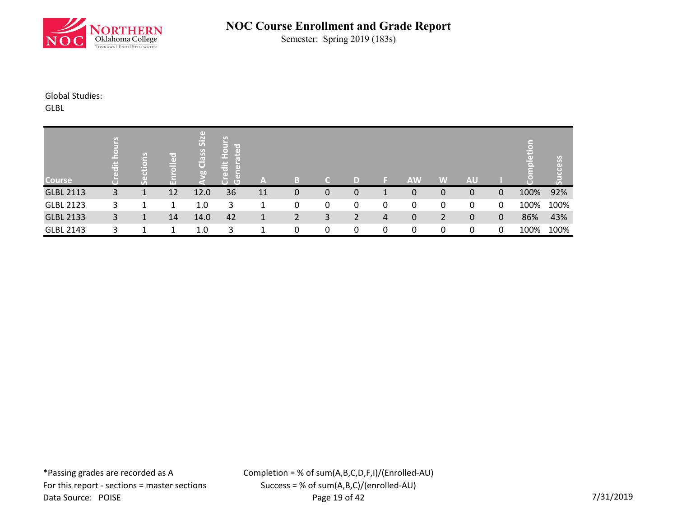

Semester: Spring 2019 (183s)

Global Studies:

GLBL

| <b>Course</b>    | £,<br>$\ddot{a}$ | U.<br>⋳<br>$\overline{5}$ | olled | Size<br>Class<br><b>bo</b> | lm or<br>$\ddot{\bar{\sigma}}$<br>$\overline{a}$<br>τ<br>$\overline{C}$ | A  | B |   | D |   | <b>AW</b>   | W | <b>AU</b> |              | н    |      |
|------------------|------------------|---------------------------|-------|----------------------------|-------------------------------------------------------------------------|----|---|---|---|---|-------------|---|-----------|--------------|------|------|
| <b>GLBL 2113</b> | 3                |                           | 12    | 12.0                       | 36                                                                      | 11 | 0 | 0 | 0 |   | 0           | 0 | 0         | $\Omega$     | 100% | 92%  |
| <b>GLBL 2123</b> | 3                |                           |       | 1.0                        | 3                                                                       |    | 0 | 0 | 0 | 0 | 0           | 0 | 0         | 0            | 100% | 100% |
| <b>GLBL 2133</b> | 3                | 1                         | 14    | 14.0                       | 42                                                                      | 1  | 2 | 3 | 2 | 4 | $\mathbf 0$ | 2 | 0         | $\mathbf{0}$ | 86%  | 43%  |
| <b>GLBL 2143</b> | 3                |                           |       | 1.0                        | 3                                                                       |    | 0 | 0 | 0 | 0 | 0           | 0 | 0         | 0            | 100% | 100% |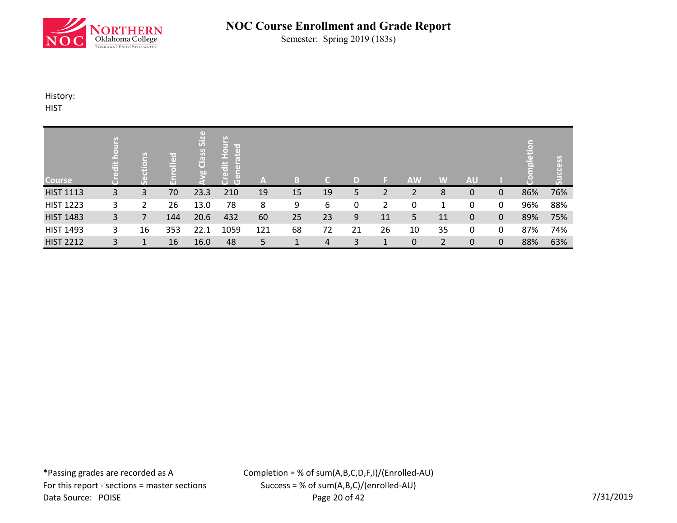

Semester: Spring 2019 (183s)

History:

**HIST** 

| Course           | 릙 | $\overline{\Xi}$<br>tio<br>$\mathcal{F}_{\mathcal{D}}$ | olled<br>£ | $\Box$<br>Siz<br>rg Class | <b>Hours</b><br>$\overline{c}$<br>E<br>edit<br>Œ<br>$\overline{G}$<br>$\overline{C}$ | A   | в  | C. | D  |    | <b>AW</b> | W              | <b>AU</b> |              | Ĕ   | <b>SS</b> |
|------------------|---|--------------------------------------------------------|------------|---------------------------|--------------------------------------------------------------------------------------|-----|----|----|----|----|-----------|----------------|-----------|--------------|-----|-----------|
| <b>HIST 1113</b> | 3 | 3                                                      | 70         | 23.3                      | 210                                                                                  | 19  | 15 | 19 | 5  | 2  | 2         | 8              | 0         | 0            | 86% | 76%       |
| <b>HIST 1223</b> | 3 | 2                                                      | 26         | 13.0                      | 78                                                                                   | 8   | 9  | 6  | 0  | 2  | 0         | 1              | 0         | 0            | 96% | 88%       |
| <b>HIST 1483</b> | 3 |                                                        | 144        | 20.6                      | 432                                                                                  | 60  | 25 | 23 | 9  | 11 | 5         | 11             | 0         | $\mathbf{0}$ | 89% | 75%       |
| <b>HIST 1493</b> | 3 | 16                                                     | 353        | 22.1                      | 1059                                                                                 | 121 | 68 | 72 | 21 | 26 | 10        | 35             | 0         | 0            | 87% | 74%       |
| <b>HIST 2212</b> | 3 | 1                                                      | 16         | 16.0                      | 48                                                                                   | 5   |    | 4  | 3  | 1  | 0         | $\overline{2}$ | 0         | $\mathbf{0}$ | 88% | 63%       |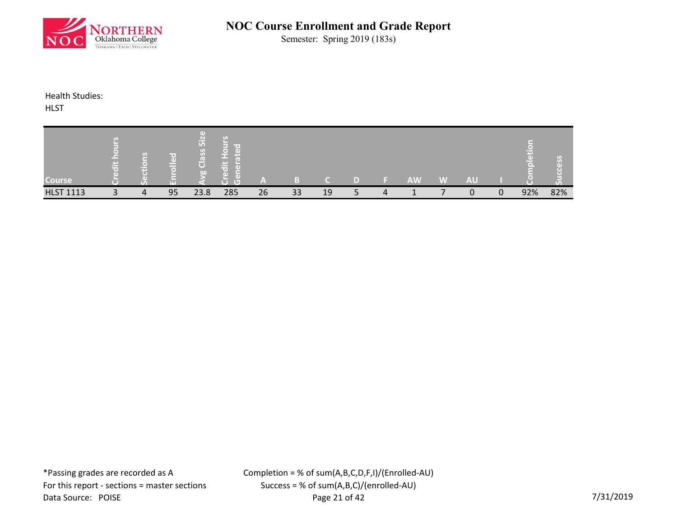

Semester: Spring 2019 (183s)

Health Studies:

**HLST** 

| <b>Course</b>    | 出 | $\mathcal{G}$<br>$\bullet$<br>m | r e i<br>GD.<br>c<br><b>LTL</b> | <b>GD</b><br>Si <sub>2</sub><br>S <sub>o</sub><br>¢<br>$\overline{C}$<br>bn | A G T<br>σ | ,,,<br>- |    |    |   | <b>AW</b> | W | <b>AU</b> |   |     |     |
|------------------|---|---------------------------------|---------------------------------|-----------------------------------------------------------------------------|------------|----------|----|----|---|-----------|---|-----------|---|-----|-----|
| <b>HLST 1113</b> |   | 4                               | 95                              | 23.8                                                                        | 285        | 26       | 33 | 19 | 4 |           |   | $\Omega$  | 0 | 92% | 82% |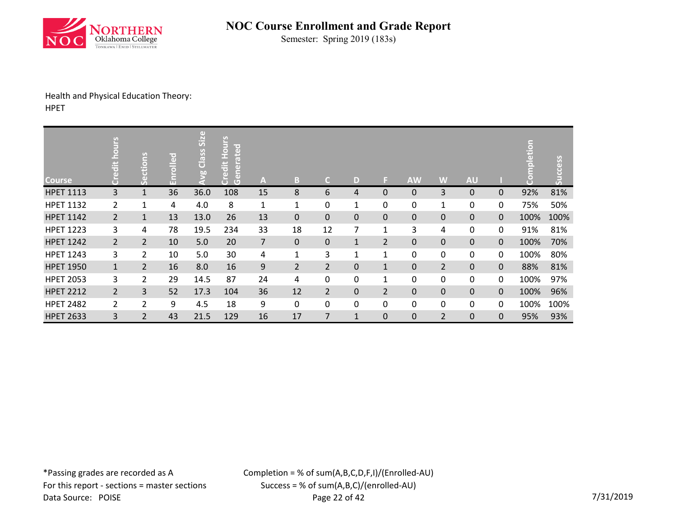

Semester: Spring 2019 (183s)

### Health and Physical Education Theory: HPET

| <b>Course</b>    | Credit hours   | Sections       | Enrolled | <b>Avg Class Size</b> | <b>Credit Hours</b><br>erated<br>la<br>Gen | A              | B              | $\mathsf{C}$   | D            | F.             | <b>AW</b>   | W              | <b>AU</b>   |             | npletion<br>$\bullet$<br>Ù | Success |
|------------------|----------------|----------------|----------|-----------------------|--------------------------------------------|----------------|----------------|----------------|--------------|----------------|-------------|----------------|-------------|-------------|----------------------------|---------|
| <b>HPET 1113</b> | 3              | $\overline{1}$ | 36       | 36.0                  | 108                                        | 15             | 8              | 6              | 4            | $\mathbf 0$    | $\mathbf 0$ | 3              | 0           | $\mathbf 0$ | 92%                        | 81%     |
| <b>HPET 1132</b> | $\overline{2}$ | 1              | 4        | 4.0                   | 8                                          | $\mathbf{1}$   | 1              | 0              | $\mathbf{1}$ | 0              | 0           | $\mathbf{1}$   | 0           | 0           | 75%                        | 50%     |
| <b>HPET 1142</b> | $\overline{2}$ | $\mathbf{1}$   | 13       | 13.0                  | 26                                         | 13             | $\mathbf 0$    | 0              | 0            | $\pmb{0}$      | $\pmb{0}$   | 0              | 0           | $\mathbf 0$ | 100%                       | 100%    |
| <b>HPET 1223</b> | 3              | 4              | 78       | 19.5                  | 234                                        | 33             | 18             | 12             | 7            | $\mathbf{1}$   | 3           | 4              | 0           | 0           | 91%                        | 81%     |
| <b>HPET 1242</b> | $\overline{2}$ | $\overline{2}$ | 10       | 5.0                   | 20                                         | $\overline{7}$ | $\mathbf{0}$   | $\pmb{0}$      | $\mathbf 1$  | $\overline{2}$ | $\pmb{0}$   | $\mathbf 0$    | $\mathbf 0$ | $\mathbf 0$ | 100%                       | 70%     |
| <b>HPET 1243</b> | 3              | $\overline{2}$ | 10       | 5.0                   | 30                                         | 4              | $\mathbf{1}$   | 3              | $\mathbf{1}$ | $\mathbf 1$    | $\mathbf 0$ | $\pmb{0}$      | 0           | $\mathbf 0$ | 100%                       | 80%     |
| <b>HPET 1950</b> | $\mathbf{1}$   | $\overline{2}$ | 16       | 8.0                   | 16                                         | 9              | $\overline{2}$ | $\overline{2}$ | 0            | $\mathbf{1}$   | $\mathbf 0$ | $\overline{2}$ | $\mathbf 0$ | $\mathbf 0$ | 88%                        | 81%     |
| <b>HPET 2053</b> | 3              | 2              | 29       | 14.5                  | 87                                         | 24             | 4              | 0              | 0            | 1              | 0           | 0              | 0           | 0           | 100%                       | 97%     |
| <b>HPET 2212</b> | $\overline{2}$ | 3              | 52       | 17.3                  | 104                                        | 36             | 12             | $\overline{2}$ | 0            | $\overline{2}$ | $\pmb{0}$   | $\pmb{0}$      | $\pmb{0}$   | $\mathbf 0$ | 100%                       | 96%     |
| <b>HPET 2482</b> | 2              | $\overline{2}$ | 9        | 4.5                   | 18                                         | 9              | 0              | 0              | 0            | $\mathbf 0$    | 0           | 0              | 0           | 0           | 100%                       | 100%    |
| <b>HPET 2633</b> | 3              | $\overline{2}$ | 43       | 21.5                  | 129                                        | 16             | 17             | 7              | $\mathbf{1}$ | $\pmb{0}$      | $\pmb{0}$   | $\overline{2}$ | $\pmb{0}$   | $\pmb{0}$   | 95%                        | 93%     |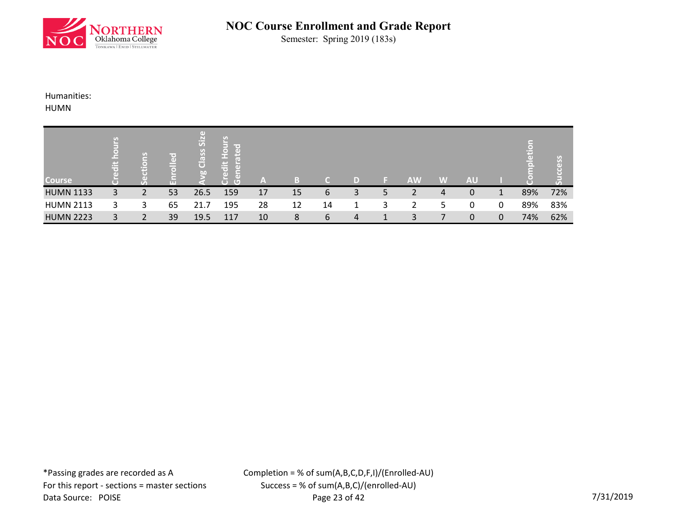

Semester: Spring 2019 (183s)

Humanities:

HUMN

| <b>Course</b>    | £.<br>ä | (⊜) | $\left( 1\right)$ | $\left( \mathrm{d} \right)$<br>Siz<br>Class<br>b <sub>0</sub> |     | 7 A ' |    |    |   |   | <b>AW</b> | W | <b>AU</b> |   |     |     |
|------------------|---------|-----|-------------------|---------------------------------------------------------------|-----|-------|----|----|---|---|-----------|---|-----------|---|-----|-----|
|                  |         |     | П                 |                                                               | τ   | m     |    |    |   |   |           |   |           |   |     |     |
| <b>HUMN 1133</b> | 3       | 2   | 53                | 26.5                                                          | 159 | 17    | 15 | 6  | 3 | 5 | 2         | 4 | 0         |   | 89% | 72% |
| <b>HUMN 2113</b> | 3       | 3   | 65                | 21.7                                                          | 195 | 28    | 12 | 14 | 1 | 3 | 2         | ל | 0         | 0 | 89% | 83% |
| <b>HUMN 2223</b> | 3       | 2   | 39                | 19.5                                                          | 117 | 10    | 8  | 6  | 4 |   | 3         |   | 0         | 0 | 74% | 62% |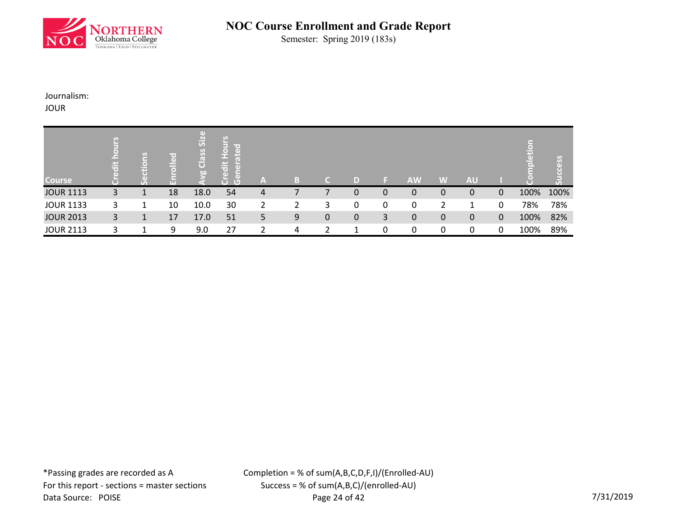

Semester: Spring 2019 (183s)

Journalism:

JOUR

|                  | $\ddot{a}$ | tions | \г⇔)<br>$rac{1}{2}$ | Size<br>Class | lu o<br>$\ddot{\bar{\sigma}}$ |               |   |           |             |              |             |   |           |              | Tax  | y    |
|------------------|------------|-------|---------------------|---------------|-------------------------------|---------------|---|-----------|-------------|--------------|-------------|---|-----------|--------------|------|------|
| <b>Course</b>    |            | 77    | m                   | <b>bo</b>     | τ<br>$\overline{C}$           | A             | B | ٠         | D           |              | <b>AW</b>   | W | <b>AU</b> |              |      |      |
| <b>JOUR 1113</b> | 3          | ᆚ     | 18                  | 18.0          | 54                            | 4             |   |           | 0           | $\mathbf{0}$ | $\mathbf 0$ | 0 | 0         | $\Omega$     | 100% | 100% |
| <b>JOUR 1133</b> | 3          |       | 10                  | 10.0          | 30                            | $\mathcal{P}$ | 2 | 3         | 0           | 0            | 0           |   |           | 0            | 78%  | 78%  |
| <b>JOUR 2013</b> | 3          | 1     | 17                  | 17.0          | 51                            | 5             | 9 | $\pmb{0}$ | $\mathbf 0$ | 3            | $\mathbf 0$ | 0 | 0         | $\mathbf{0}$ | 100% | 82%  |
| <b>JOUR 2113</b> | 3          |       | 9                   | 9.0           | 27                            | ∍             | 4 | 2         |             | 0            | 0           | 0 | 0         | 0            | 100% | 89%  |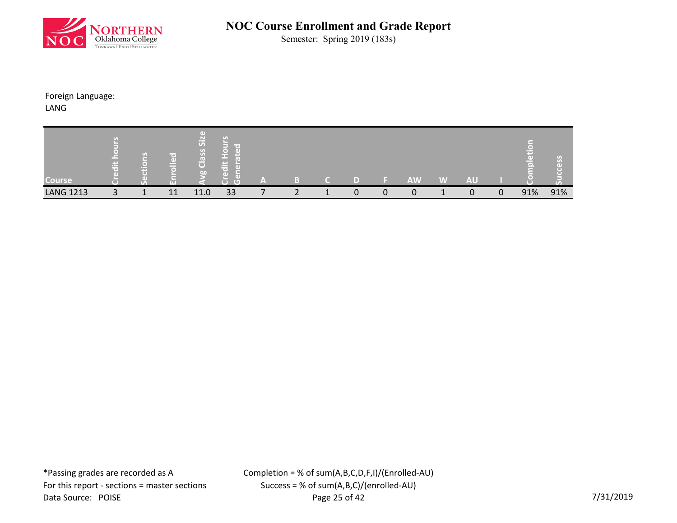

Semester: Spring 2019 (183s)

Foreign Language:

LANG

| Course           | $\sigma_{\text{d}}$<br><b>Provi</b><br>ــ | $\mathbf{G}$<br>m | <b>TTL</b> | $\left( \mathbf{d} \right)$<br>Si <sub>2</sub><br>S <sub>o</sub><br>l e v<br>$\bullet$<br>bn | ľ a li<br>ъD<br>Æ<br>C. | (合) |  |   |   | <b>AW</b> | W | AU |             |     |     |
|------------------|-------------------------------------------|-------------------|------------|----------------------------------------------------------------------------------------------|-------------------------|-----|--|---|---|-----------|---|----|-------------|-----|-----|
| <b>LANG 1213</b> |                                           | --                | 11         | 11.0                                                                                         | 33                      |     |  | 0 | n | 0         |   | O  | $\mathbf 0$ | 91% | 91% |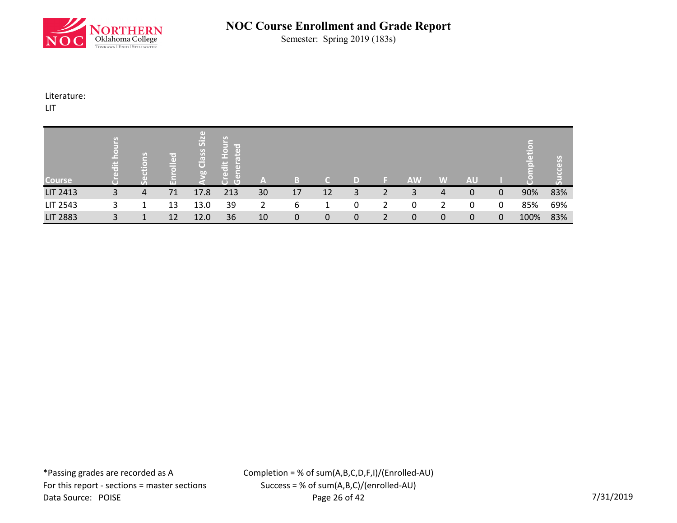

Semester: Spring 2019 (183s)

Literature:

LIT

| <b>Course</b>   | 崇 | o۱<br>н | lir er<br>$\left( \mathbf{d} \right)$<br>Ħ<br>$\overline{\bullet}$<br><b>TTT</b> | SiZ<br>Class<br>b0 | l e<br>ΓøΝ<br>出<br>T®<br>$\Box$<br>$\overline{G}$<br>$\overline{\phantom{a}}$ | A  |    |    | ID |   | <b>AW</b> | IW          | <b>AU</b> |              |      |     |
|-----------------|---|---------|----------------------------------------------------------------------------------|--------------------|-------------------------------------------------------------------------------|----|----|----|----|---|-----------|-------------|-----------|--------------|------|-----|
| <b>LIT 2413</b> | 3 | 4       | 71                                                                               | 17.8               | 213                                                                           | 30 | 17 | 12 | 3  | 2 | 3         | 4           | 0         | $\mathbf{0}$ | 90%  | 83% |
| LIT 2543        | 3 | 1       | 13                                                                               | 13.0               | 39                                                                            | 2  | 6  |    | 0  | 2 | 0         | 2           | 0         | 0            | 85%  | 69% |
| <b>LIT 2883</b> | 3 |         | 12                                                                               | 12.0               | 36                                                                            | 10 | 0  | 0  | 0  | 2 | 0         | $\mathbf 0$ | 0         | 0            | 100% | 83% |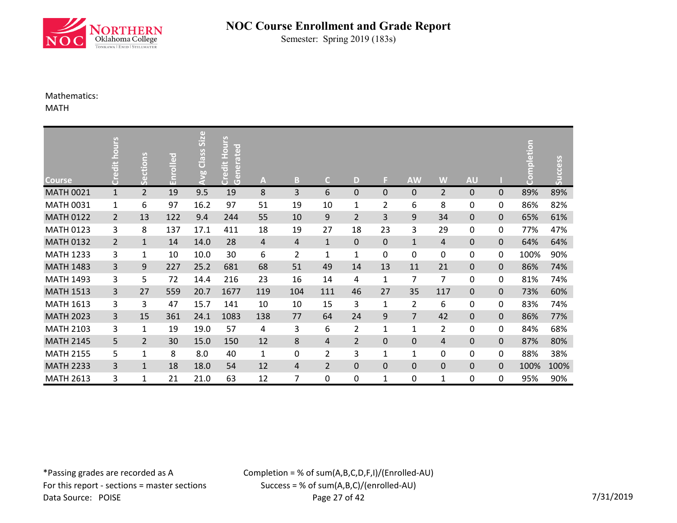

Semester: Spring 2019 (183s)

### Mathematics:

MATH

| <b>Course</b>    | Credit hours   | Sections       | Enrolled | Avg Class Size | <b>Credit Hours</b><br>Generated | A              | B              | $\mathsf{C}$   | D              | F              | <b>AW</b>      | W              | <b>AU</b>   |   | mpletion<br>$\bullet$<br>Ō | Success |
|------------------|----------------|----------------|----------|----------------|----------------------------------|----------------|----------------|----------------|----------------|----------------|----------------|----------------|-------------|---|----------------------------|---------|
| <b>MATH 0021</b> | $\mathbf{1}$   | $\overline{2}$ | 19       | 9.5            | 19                               | 8              | 3              | 6              | 0              | $\pmb{0}$      | 0              | $\overline{2}$ | 0           | 0 | 89%                        | 89%     |
| <b>MATH 0031</b> | $\mathbf{1}$   | 6              | 97       | 16.2           | 97                               | 51             | 19             | 10             | $\mathbf{1}$   | $\overline{2}$ | 6              | 8              | $\mathbf 0$ | 0 | 86%                        | 82%     |
| <b>MATH 0122</b> | $\overline{2}$ | 13             | 122      | 9.4            | 244                              | 55             | 10             | 9              | $\overline{2}$ | 3              | 9              | 34             | $\mathbf 0$ | 0 | 65%                        | 61%     |
| <b>MATH 0123</b> | 3              | 8              | 137      | 17.1           | 411                              | 18             | 19             | 27             | 18             | 23             | 3              | 29             | $\mathbf 0$ | 0 | 77%                        | 47%     |
| <b>MATH 0132</b> | $\overline{2}$ | $\mathbf{1}$   | 14       | 14.0           | 28                               | $\overline{4}$ | 4              | $\mathbf{1}$   | $\pmb{0}$      | $\pmb{0}$      | $\mathbf{1}$   | $\overline{4}$ | $\mathbf 0$ | 0 | 64%                        | 64%     |
| <b>MATH 1233</b> | 3              | $\mathbf 1$    | 10       | 10.0           | 30                               | 6              | $\overline{2}$ | $\mathbf{1}$   | $\mathbf{1}$   | 0              | 0              | 0              | $\mathbf 0$ | 0 | 100%                       | 90%     |
| <b>MATH 1483</b> | 3              | 9              | 227      | 25.2           | 681                              | 68             | 51             | 49             | 14             | 13             | 11             | 21             | $\mathbf 0$ | 0 | 86%                        | 74%     |
| <b>MATH 1493</b> | 3              | 5              | 72       | 14.4           | 216                              | 23             | 16             | 14             | 4              | $\mathbf{1}$   | 7              | 7              | 0           | 0 | 81%                        | 74%     |
| <b>MATH 1513</b> | 3              | 27             | 559      | 20.7           | 1677                             | 119            | 104            | 111            | 46             | 27             | 35             | 117            | $\mathbf 0$ | 0 | 73%                        | 60%     |
| <b>MATH 1613</b> | 3              | 3              | 47       | 15.7           | 141                              | 10             | 10             | 15             | 3              | $\mathbf{1}$   | $\overline{2}$ | 6              | $\mathbf 0$ | 0 | 83%                        | 74%     |
| <b>MATH 2023</b> | 3              | 15             | 361      | 24.1           | 1083                             | 138            | 77             | 64             | 24             | 9              | $\overline{7}$ | 42             | $\mathbf 0$ | 0 | 86%                        | 77%     |
| <b>MATH 2103</b> | 3              | 1              | 19       | 19.0           | 57                               | 4              | 3              | 6              | $\overline{2}$ | $\mathbf{1}$   | $\mathbf{1}$   | $\overline{2}$ | 0           | 0 | 84%                        | 68%     |
| <b>MATH 2145</b> | 5              | $\overline{2}$ | 30       | 15.0           | 150                              | 12             | 8              | 4              | $\overline{2}$ | $\pmb{0}$      | 0              | 4              | $\mathbf 0$ | 0 | 87%                        | 80%     |
| <b>MATH 2155</b> | 5              | 1              | 8        | 8.0            | 40                               | 1              | 0              | $\overline{2}$ | 3              | $\mathbf{1}$   | $\mathbf{1}$   | 0              | 0           | 0 | 88%                        | 38%     |
| <b>MATH 2233</b> | 3              | $\mathbf{1}$   | 18       | 18.0           | 54                               | 12             | $\overline{4}$ | $\overline{2}$ | 0              | $\pmb{0}$      | 0              | $\pmb{0}$      | $\mathbf 0$ | 0 | 100%                       | 100%    |
| <b>MATH 2613</b> | 3              | 1              | 21       | 21.0           | 63                               | 12             | 7              | 0              | 0              | $\mathbf{1}$   | 0              | $\mathbf{1}$   | 0           | 0 | 95%                        | 90%     |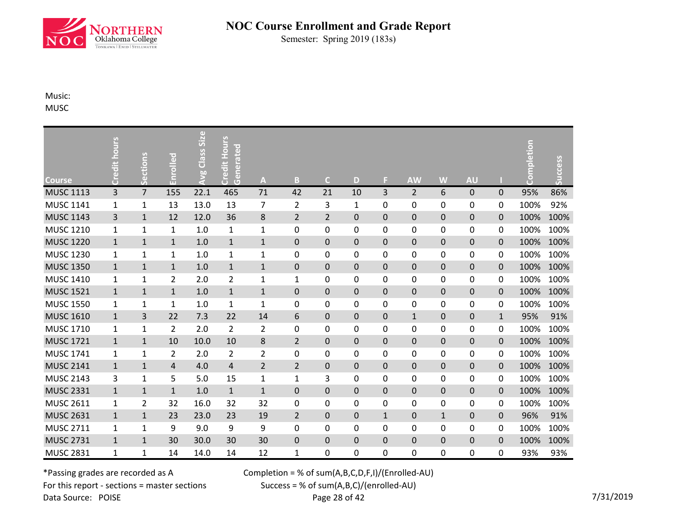

Semester: Spring 2019 (183s)

Music: MUSC

|                  | Credit hours   |                |                | <b>Avg Class Size</b> | <b>Credit Hours</b><br>Generated |                         |                  |                |              |                  |                |                     |                     |             | Completion |         |
|------------------|----------------|----------------|----------------|-----------------------|----------------------------------|-------------------------|------------------|----------------|--------------|------------------|----------------|---------------------|---------------------|-------------|------------|---------|
| <b>Course</b>    |                | Sections       | Enrolled       |                       |                                  | $\overline{\mathsf{A}}$ | B                | $\mathsf{C}$   | D            | F.               | <b>AW</b>      | W                   | <b>AU</b>           |             |            | Success |
| <b>MUSC 1113</b> | $\overline{3}$ | $\overline{7}$ | 155            | 22.1                  | 465                              | 71                      | 42               | 21             | 10           | 3                | $\overline{2}$ | 6                   | 0                   | $\mathbf 0$ | 95%        | 86%     |
| <b>MUSC 1141</b> | $\mathbf{1}$   | $\mathbf 1$    | 13             | 13.0                  | 13                               | 7                       | $\overline{2}$   | 3              | $\mathbf{1}$ | 0                | $\pmb{0}$      | 0                   | 0                   | 0           | 100%       | 92%     |
| <b>MUSC 1143</b> | 3              | $\mathbf{1}$   | 12             | 12.0                  | 36                               | 8                       | $\overline{2}$   | $\overline{2}$ | $\mathbf 0$  | $\mathbf 0$      | $\pmb{0}$      | $\mathsf{O}\xspace$ | $\mathsf{O}\xspace$ | $\mathbf 0$ | 100%       | 100%    |
| <b>MUSC 1210</b> | $\mathbf{1}$   | $\mathbf 1$    | 1              | 1.0                   | $\mathbf{1}$                     | $\mathbf{1}$            | $\mathbf 0$      | 0              | 0            | $\boldsymbol{0}$ | $\pmb{0}$      | 0                   | 0                   | 0           | 100%       | 100%    |
| <b>MUSC 1220</b> | $\mathbf{1}$   | $\mathbf{1}$   | $\mathbf{1}$   | 1.0                   | $\mathbf 1$                      | $\mathbf{1}$            | $\mathbf 0$      | $\pmb{0}$      | $\pmb{0}$    | $\pmb{0}$        | $\pmb{0}$      | $\pmb{0}$           | $\pmb{0}$           | $\mathbf 0$ | 100%       | 100%    |
| <b>MUSC 1230</b> | $\mathbf{1}$   | 1              | 1              | 1.0                   | $\mathbf{1}$                     | $\mathbf{1}$            | $\mathbf 0$      | 0              | 0            | $\boldsymbol{0}$ | $\pmb{0}$      | 0                   | 0                   | 0           | 100%       | 100%    |
| <b>MUSC 1350</b> | $\mathbf{1}$   | $\mathbf{1}$   | $\mathbf{1}$   | 1.0                   | $\mathbf 1$                      | $\mathbf{1}$            | $\mathbf 0$      | 0              | $\mathbf 0$  | $\mathbf 0$      | $\pmb{0}$      | $\pmb{0}$           | $\mathbf 0$         | $\mathbf 0$ | 100%       | 100%    |
| <b>MUSC 1410</b> | $\mathbf{1}$   | $\mathbf{1}$   | $\overline{2}$ | 2.0                   | $\overline{2}$                   | $\mathbf{1}$            | $\mathbf{1}$     | $\pmb{0}$      | 0            | 0                | $\pmb{0}$      | 0                   | 0                   | 0           | 100%       | 100%    |
| <b>MUSC 1521</b> | $\mathbf{1}$   | $\mathbf{1}$   | $\mathbf{1}$   | 1.0                   | $\mathbf{1}$                     | $\mathbf{1}$            | $\mathbf 0$      | 0              | $\pmb{0}$    | $\pmb{0}$        | $\pmb{0}$      | $\pmb{0}$           | $\pmb{0}$           | $\mathbf 0$ | 100%       | 100%    |
| <b>MUSC 1550</b> | $\mathbf{1}$   | 1              | 1              | 1.0                   | $\mathbf{1}$                     | 1                       | $\mathbf 0$      | 0              | 0            | 0                | $\pmb{0}$      | 0                   | 0                   | 0           | 100%       | 100%    |
| <b>MUSC 1610</b> | $\mathbf 1$    | 3              | 22             | 7.3                   | 22                               | 14                      | 6                | $\pmb{0}$      | $\mathbf 0$  | $\mathbf 0$      | $\mathbf 1$    | $\pmb{0}$           | $\pmb{0}$           | $\mathbf 1$ | 95%        | 91%     |
| <b>MUSC 1710</b> | $\mathbf{1}$   | $\mathbf 1$    | 2              | 2.0                   | $\overline{2}$                   | $\overline{2}$          | $\boldsymbol{0}$ | 0              | 0            | 0                | $\pmb{0}$      | 0                   | 0                   | 0           | 100%       | 100%    |
| <b>MUSC 1721</b> | $\mathbf{1}$   | $\mathbf{1}$   | 10             | 10.0                  | 10                               | 8                       | $\overline{2}$   | $\pmb{0}$      | $\pmb{0}$    | $\pmb{0}$        | $\pmb{0}$      | $\pmb{0}$           | $\pmb{0}$           | $\pmb{0}$   | 100%       | 100%    |
| <b>MUSC 1741</b> | $\mathbf{1}$   | 1              | 2              | 2.0                   | $\overline{2}$                   | $\overline{2}$          | $\mathbf 0$      | 0              | 0            | 0                | $\pmb{0}$      | 0                   | 0                   | 0           | 100%       | 100%    |
| <b>MUSC 2141</b> | $\mathbf 1$    | $\mathbf 1$    | $\overline{4}$ | 4.0                   | $\overline{4}$                   | $\overline{2}$          | $\overline{2}$   | $\pmb{0}$      | 0            | $\pmb{0}$        | $\pmb{0}$      | $\pmb{0}$           | $\pmb{0}$           | $\pmb{0}$   | 100%       | 100%    |
| <b>MUSC 2143</b> | 3              | $\mathbf 1$    | 5              | 5.0                   | 15                               | $\mathbf{1}$            | $\mathbf{1}$     | 3              | 0            | $\mathbf 0$      | $\pmb{0}$      | 0                   | 0                   | 0           | 100%       | 100%    |
| <b>MUSC 2331</b> | $\mathbf{1}$   | $\mathbf{1}$   | $\mathbf{1}$   | 1.0                   | $\mathbf 1$                      | $\mathbf{1}$            | $\mathbf 0$      | $\pmb{0}$      | $\mathbf 0$  | $\mathbf 0$      | $\mathbf 0$    | 0                   | $\mathbf 0$         | $\pmb{0}$   | 100%       | 100%    |
| <b>MUSC 2611</b> | $\mathbf{1}$   | $\overline{2}$ | 32             | 16.0                  | 32                               | 32                      | $\mathbf 0$      | 0              | 0            | $\pmb{0}$        | $\pmb{0}$      | 0                   | 0                   | 0           | 100%       | 100%    |
| <b>MUSC 2631</b> | $\mathbf{1}$   | $\mathbf{1}$   | 23             | 23.0                  | 23                               | 19                      | $\overline{2}$   | $\pmb{0}$      | $\pmb{0}$    | $\mathbf 1$      | $\pmb{0}$      | $\mathbf{1}$        | $\pmb{0}$           | $\mathbf 0$ | 96%        | 91%     |
| <b>MUSC 2711</b> | $\mathbf 1$    | $\mathbf 1$    | 9              | 9.0                   | 9                                | 9                       | $\boldsymbol{0}$ | 0              | 0            | $\pmb{0}$        | $\pmb{0}$      | 0                   | 0                   | 0           | 100%       | 100%    |
| <b>MUSC 2731</b> | $\mathbf{1}$   | $\mathbf{1}$   | 30             | 30.0                  | 30                               | 30                      | $\pmb{0}$        | $\mathsf 0$    | $\pmb{0}$    | $\mathbf 0$      | $\pmb{0}$      | $\pmb{0}$           | $\mathbf 0$         | $\pmb{0}$   | 100%       | 100%    |
| <b>MUSC 2831</b> | $\mathbf{1}$   | $\mathbf 1$    | 14             | 14.0                  | 14                               | 12                      | $\mathbf{1}$     | 0              | 0            | 0                | 0              | 0                   | 0                   | 0           | 93%        | 93%     |

\*Passing grades are recorded as A For this report - sections = master sections Data Source: POISE

Completion = % of sum(A,B,C,D,F,I)/(Enrolled-AU)

Success = % of sum(A,B,C)/(enrolled-AU)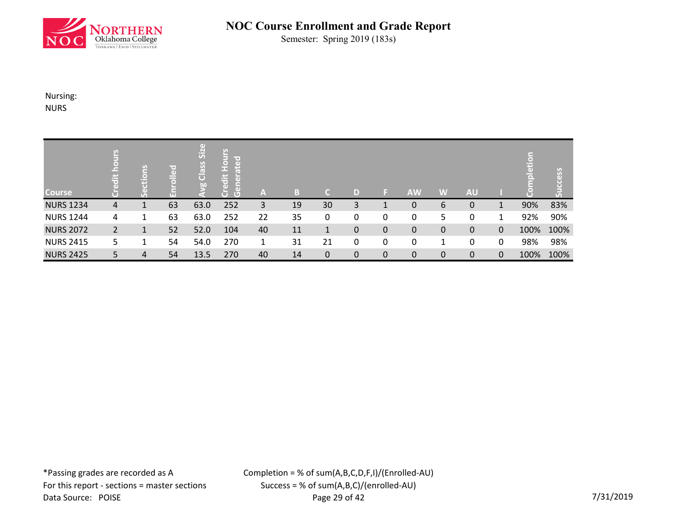

Semester: Spring 2019 (183s)

Nursing: NURS

| <b>Course</b>    | E<br>$\frac{1}{10}$ | <u>is</u> | $l$ led<br>品 | g Class Size | <b>Hours</b><br>$\overline{6}$<br>edit<br>G<br>$\overline{G}$ | A  | B. | C. | D |             | <b>AW</b>   | W | <b>AU</b> |   | $\Box$<br>pletic | ccess<br>$\bar{5}$ |
|------------------|---------------------|-----------|--------------|--------------|---------------------------------------------------------------|----|----|----|---|-------------|-------------|---|-----------|---|------------------|--------------------|
| <b>NURS 1234</b> | 4                   |           | 63           | 63.0         | 252                                                           | 3  | 19 | 30 | 3 |             | $\mathbf 0$ | 6 | 0         | 1 | 90%              | 83%                |
| <b>NURS 1244</b> | 4                   | 1         | 63           | 63.0         | 252                                                           | 22 | 35 | 0  | 0 | 0           | 0           | 5 | 0         |   | 92%              | 90%                |
| <b>NURS 2072</b> | 2                   | 1         | 52           | 52.0         | 104                                                           | 40 | 11 | 1  | 0 | 0           | $\mathbf 0$ | 0 | 0         | 0 | 100%             | 100%               |
| <b>NURS 2415</b> | 5.                  | 1         | 54           | 54.0         | 270                                                           | 1  | 31 | 21 | 0 | 0           | $\mathbf 0$ | 1 | 0         | 0 | 98%              | 98%                |
| <b>NURS 2425</b> | 5                   | 4         | 54           | 13.5         | 270                                                           | 40 | 14 | 0  | 0 | $\mathbf 0$ | $\mathbf 0$ | 0 | 0         | 0 | 100%             | 100%               |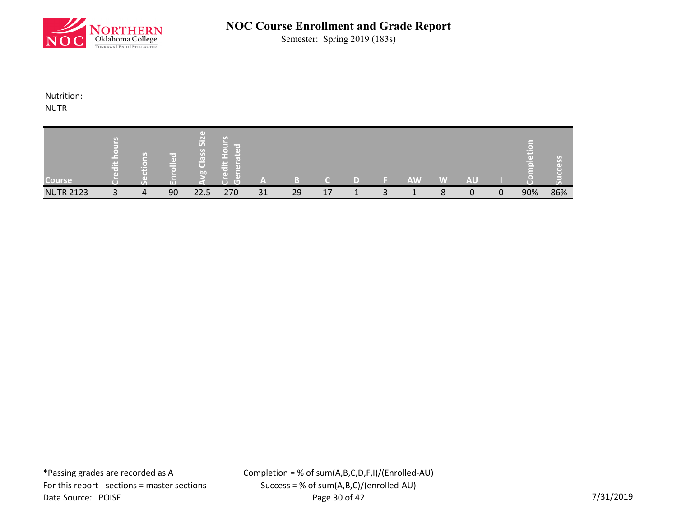

Semester: Spring 2019 (183s)

Nutrition:

NUTR

| <b>Course</b>    | $\mathbf{G}$<br>œ | r m'<br>۰D | $\Box$<br>Si <sub>z</sub><br>$\mathsf{S}$<br>$\mathbf \sigma$<br>$\overline{\overline{C}}$<br>bn | le ai<br>Œ<br>$\bullet$ | $\sim$ |    |    |  | <b>AW</b> | W            | AU |          |     |     |
|------------------|-------------------|------------|--------------------------------------------------------------------------------------------------|-------------------------|--------|----|----|--|-----------|--------------|----|----------|-----|-----|
| <b>NUTR 2123</b> | 4                 | 90         | 22.5                                                                                             | 270                     | 31     | 29 | 17 |  |           | $\circ$<br>Ο |    | $\Omega$ | 90% | 86% |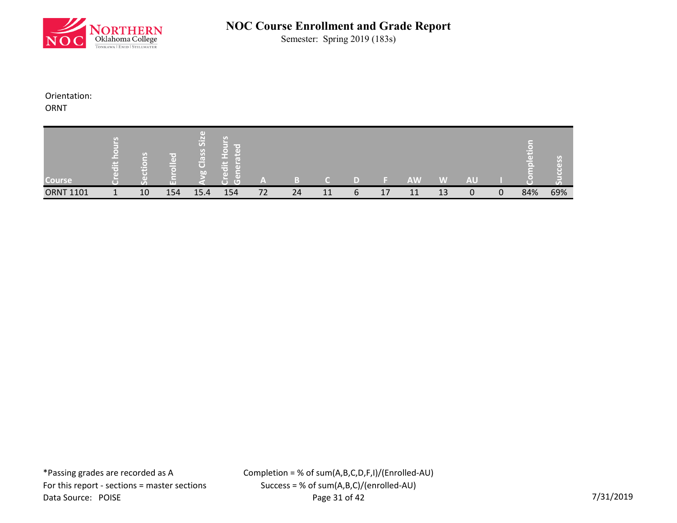

Semester: Spring 2019 (183s)

Orientation:

ORNT

| <b>Course</b>    | 出 | $\mathbf{G}$<br>h. | ΓøΝ<br><b>LTL</b> | $\left( \mathrm{d}\right)$<br>Si <sub>z</sub><br>$\overline{\text{S}}$<br>$\overline{\mathfrak{c}}$<br>$\overline{O}$<br>bn | --<br>Œ<br>T. | ľ٨ |    |    |   |    | <b>AW</b> | W  | <b>AU</b> |              |     |     |
|------------------|---|--------------------|-------------------|-----------------------------------------------------------------------------------------------------------------------------|---------------|----|----|----|---|----|-----------|----|-----------|--------------|-----|-----|
| <b>ORNT 1101</b> |   | 10                 | 154               | 15.4                                                                                                                        | 154           | 72 | 24 | 11 | 6 | 17 | 11        | 13 | $\Omega$  | $\mathbf{0}$ | 84% | 69% |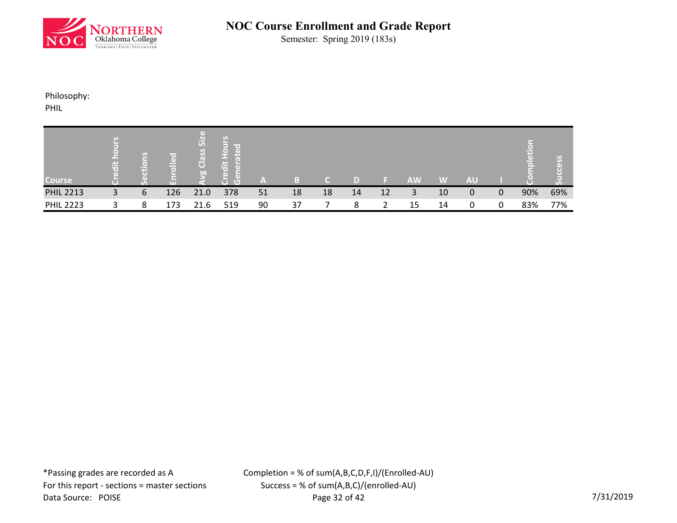

Semester: Spring 2019 (183s)

Philosophy:

PHIL

| <b>Course</b>    | <b>Provi</b> | S | ir e i<br>$\left($<br>ш | Гđ<br>$s^2$<br>Class<br>bn | r.<br>æ<br>ఆ<br>$\overline{G}$<br>۰ | ľ≞\ |    |    |    |    | <b>AW</b> | W  | <b>AU</b> |   |     |     |
|------------------|--------------|---|-------------------------|----------------------------|-------------------------------------|-----|----|----|----|----|-----------|----|-----------|---|-----|-----|
| <b>PHIL 2213</b> | 3            | 6 | 126                     | 21.0                       | 378                                 | 51  | 18 | 18 | 14 | 12 | 3         | 10 | 0         | 0 | 90% | 69% |
| <b>PHIL 2223</b> |              | 8 | 173                     | 21.6                       | 519                                 | 90  | 37 |    | 8  | 2  | 15        | 14 | 0         | 0 | 83% | 77% |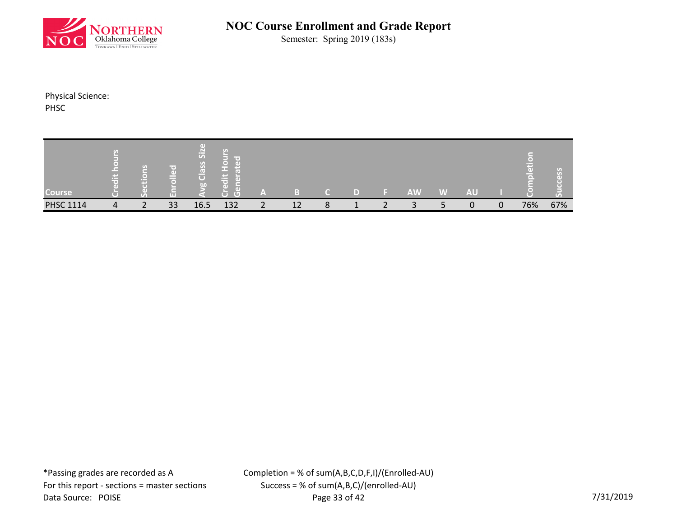

Semester: Spring 2019 (183s)

Physical Science: PHSC

| Course           | `—⊾<br>$\pm$ | $\mathcal{G}$<br>ਸਰ | m  | $\left( \mathbf{d} \right)$<br>$\frac{1}{2}$<br>Ø.<br>ြီ<br>$\overline{b}$ | --<br>÷<br>τ<br>ਾ | -                  |    |              |                      |   | <b>AW</b> | W | <b>AU</b> |   | <b>C</b> |     |
|------------------|--------------|---------------------|----|----------------------------------------------------------------------------|-------------------|--------------------|----|--------------|----------------------|---|-----------|---|-----------|---|----------|-----|
| <b>PHSC 1114</b> | 4            | $\mathbf{\Gamma}$   | 33 | 16.5                                                                       | 132               | $\mathbf{\hat{z}}$ | 12 | $\circ$<br>٥ | $\blacktriangleleft$ | ∍ |           |   | n         | 0 | 76%      | 67% |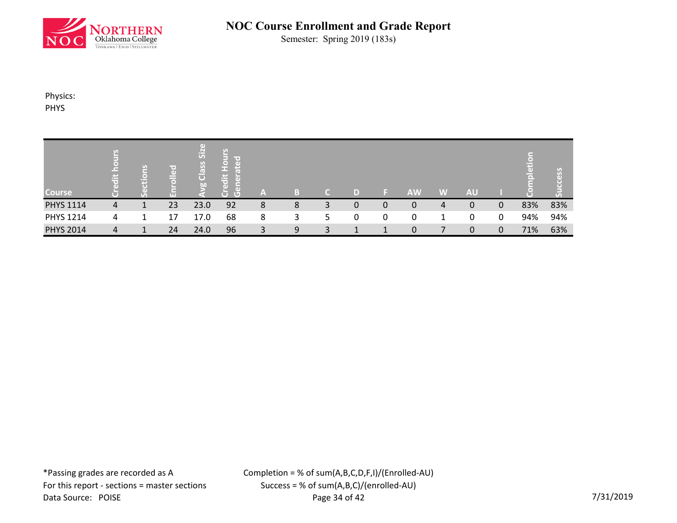

Semester: Spring 2019 (183s)

Physics: PHYS

| <b>Course</b>    | E.<br>ä | 은<br>т. | ≡ ⇔'<br>$\omega$<br>_<br>51<br><b>LET</b> | $\Box$<br>Class Size<br>$\overline{a}$ | U)<br>$\overline{5}$<br>in the S<br>$\Box$<br>æ<br>edit<br>$\Box$<br>$\left( 1\right)$<br>ò<br>$\overline{G}$ | A |   | ۲. | D |   | <b>AW</b>   | W | <b>AU</b> |             | $\bullet$<br>leti<br>ō. | ျိပ္သိ<br>$\circ$<br>$\overline{C}$<br>შ |
|------------------|---------|---------|-------------------------------------------|----------------------------------------|---------------------------------------------------------------------------------------------------------------|---|---|----|---|---|-------------|---|-----------|-------------|-------------------------|------------------------------------------|
| <b>PHYS 1114</b> | 4       |         | 23                                        | 23.0                                   | 92                                                                                                            | 8 | 8 | 3  | 0 | 0 | 0           | 4 | 0         | 0           | 83%                     | 83%                                      |
| <b>PHYS 1214</b> | 4       | 1       | 17                                        | 17.0                                   | 68                                                                                                            | 8 | 3 | 5  | 0 | 0 | 0           |   | 0         | 0           | 94%                     | 94%                                      |
| <b>PHYS 2014</b> | 4       | 1       | 24                                        | 24.0                                   | 96                                                                                                            | 3 | 9 | 3  |   |   | $\mathbf 0$ |   | 0         | $\mathbf 0$ | 71%                     | 63%                                      |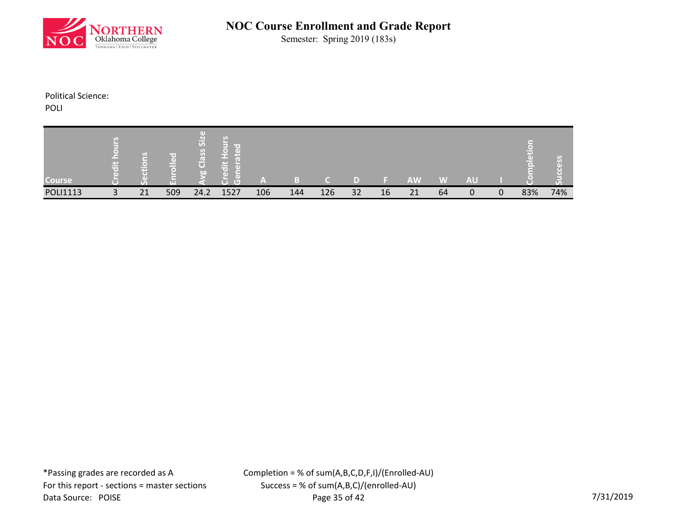

Semester: Spring 2019 (183s)

Political Science:

POLI

| <b>Course</b>   | 量              | $\mathbf{G}$<br>$\blacksquare$ | ir e i<br>O)<br>í m<br><b>TTT</b> | Æ<br>Siz<br>Class<br>b <sub>0</sub> | œ<br><b>CGY</b><br>ч. | A   |     |     |    |    | <b>AW</b> | W  | <b>AU</b> |              |     |     |
|-----------------|----------------|--------------------------------|-----------------------------------|-------------------------------------|-----------------------|-----|-----|-----|----|----|-----------|----|-----------|--------------|-----|-----|
| <b>POLI1113</b> | $\overline{a}$ | 21                             | 509                               | 24.2                                | 1527                  | 106 | 144 | 126 | 32 | 16 | 21        | 64 | 0         | $\mathbf{0}$ | 83% | 74% |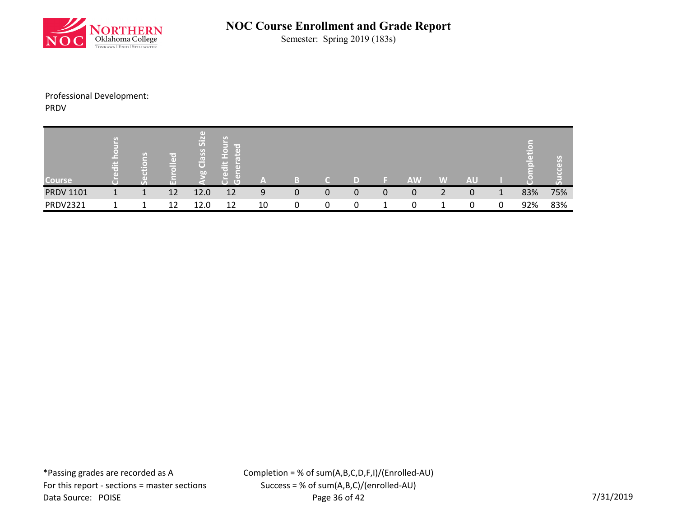

Semester: Spring 2019 (183s)

### Professional Development: PRDV

| <b>Course</b>    | $\left[ \begin{array}{c} \sigma_{B} \end{array} \right]$<br>$=$<br>넣 | U) | ir e '<br>$\left( \right)$<br><b>LTT</b> | $\left( \right)$<br>SiZ<br>Class<br>$\overline{b}$ | U)<br>in an<br>$\lceil$ $\bigcirc$ $\rceil$<br><b>I</b> GT<br>p.<br>$\equiv$<br>пT<br>r o<br>Гđ<br>۰D<br>$\overline{G}$<br>ਢ |    |   |   | D |   | <b>AW</b> | W        | <b>AU</b> |         | Ξ<br>$\Box$ |     |
|------------------|----------------------------------------------------------------------|----|------------------------------------------|----------------------------------------------------|------------------------------------------------------------------------------------------------------------------------------|----|---|---|---|---|-----------|----------|-----------|---------|-------------|-----|
| <b>PRDV 1101</b> |                                                                      |    | 12                                       | 12.0                                               | 12                                                                                                                           | 9  | 0 | 0 | 0 | 0 | 0         | 2        | 0         | 1<br>J. | 83%         | 75% |
| <b>PRDV2321</b>  |                                                                      |    | 12                                       | 12.0                                               | 12                                                                                                                           | 10 |   | 0 | 0 |   |           | <u>.</u> | 0         | 0       | 92%         | 83% |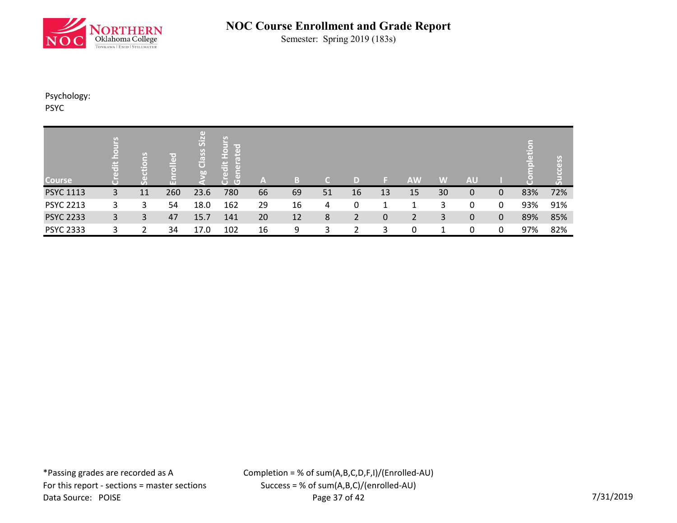

Semester: Spring 2019 (183s)

Psychology:

PSYC

| <b>Course</b>    | 岩 | $\sigma$<br>⊒<br>۹Ë<br>$\overline{(\cdot)}$ | lled<br>ш | $\left( \mathrm{d} \right)$<br>SiZ<br>Class<br>56 | 몽<br>$rac{1}{2}$<br>$\ddot{\vec{a}}$<br>त<br>$\overline{C}$<br>$\overline{C}$ | /A\ | в  | TC. |    |    | <b>AW</b>      | W  | <b>AU</b>    |              | m<br>ात |     |
|------------------|---|---------------------------------------------|-----------|---------------------------------------------------|-------------------------------------------------------------------------------|-----|----|-----|----|----|----------------|----|--------------|--------------|---------|-----|
| <b>PSYC 1113</b> | 3 | 11                                          | 260       | 23.6                                              | 780                                                                           | 66  | 69 | 51  | 16 | 13 | 15             | 30 | $\mathbf{0}$ | $\mathbf{0}$ | 83%     | 72% |
| <b>PSYC 2213</b> | 3 | 3                                           | 54        | 18.0                                              | 162                                                                           | 29  | 16 | 4   | 0  |    | 1              | 3  | 0            | 0            | 93%     | 91% |
| <b>PSYC 2233</b> | 3 | 3                                           | 47        | 15.7                                              | 141                                                                           | 20  | 12 | 8   | 2  | 0  | $\overline{2}$ | 3  | 0            | $\mathbf 0$  | 89%     | 85% |
| <b>PSYC 2333</b> | 3 |                                             | 34        | 17.0                                              | 102                                                                           | 16  | 9  | 3   |    | 3  | 0              |    | 0            | 0            | 97%     | 82% |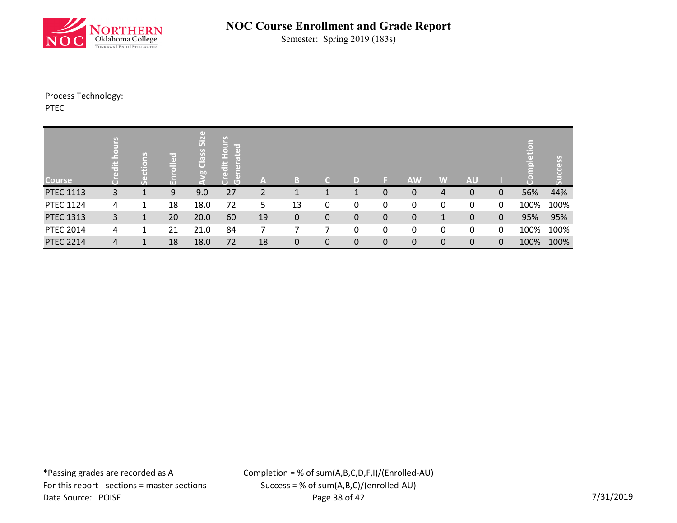

Semester: Spring 2019 (183s)

# Process Technology:

PTEC

| <b>Course</b>    | ä | tions<br>0   | plled<br>m | g Class Size | $rac{1}{2}$<br>- 8<br>$\ddot{\bar{\sigma}}$<br>τ<br>$\overline{C}$ | A  | B            | C           | D           |           | <b>AW</b>   | W | <b>AU</b>    |              | ā    | 88   |
|------------------|---|--------------|------------|--------------|--------------------------------------------------------------------|----|--------------|-------------|-------------|-----------|-------------|---|--------------|--------------|------|------|
| <b>PTEC 1113</b> | 3 |              | 9          | 9.0          | 27                                                                 |    |              |             |             | 0         | 0           | 4 | 0            | $\mathbf{0}$ | 56%  | 44%  |
| <b>PTEC 1124</b> | 4 | 1            | 18         | 18.0         | 72                                                                 | 5  | 13           | 0           | $\mathbf 0$ | 0         | 0           | 0 | 0            | 0            | 100% | 100% |
| <b>PTEC 1313</b> | 3 | $\mathbf{1}$ | 20         | 20.0         | 60                                                                 | 19 | 0            | $\mathbf 0$ | $\mathbf 0$ | $\pmb{0}$ | 0           | 1 | $\mathbf{0}$ | $\mathbf{0}$ | 95%  | 95%  |
| <b>PTEC 2014</b> | 4 | 1            | 21         | 21.0         | 84                                                                 |    |              |             | 0           | 0         | 0           | 0 | 0            | 0            | 100% | 100% |
| <b>PTEC 2214</b> | 4 | 1            | 18         | 18.0         | 72                                                                 | 18 | $\mathbf{0}$ | $\mathbf 0$ | $\mathbf 0$ | 0         | $\mathbf 0$ | 0 | 0            | $\mathbf 0$  | 100% | 100% |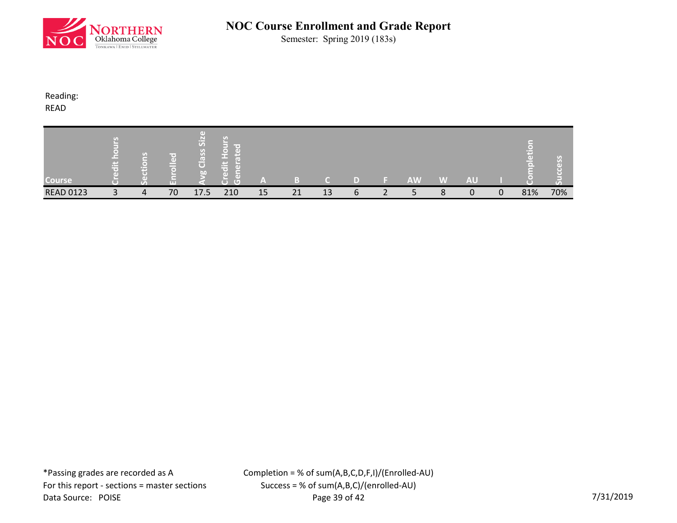

Semester: Spring 2019 (183s)

Reading:

READ

| <b>Course</b>    | m. | $\sigma$<br>┳ | r e i<br>O)<br>-<br>ਨ<br><b>LTL</b> | пT<br>siz<br>$\overline{\text{S}}$<br>œ<br>$\overline{C}$<br>b <sub>0</sub> | lir oʻ<br>K∢D<br><b>Provi</b><br>τ | -  |    |    |   | <b>AW</b> | W | <b>AU</b> |   |     |     |
|------------------|----|---------------|-------------------------------------|-----------------------------------------------------------------------------|------------------------------------|----|----|----|---|-----------|---|-----------|---|-----|-----|
| <b>READ 0123</b> |    | 4             | 70                                  | 17.5                                                                        | 210                                | 15 | 21 | 13 | b |           | 8 |           | 0 | 81% | 70% |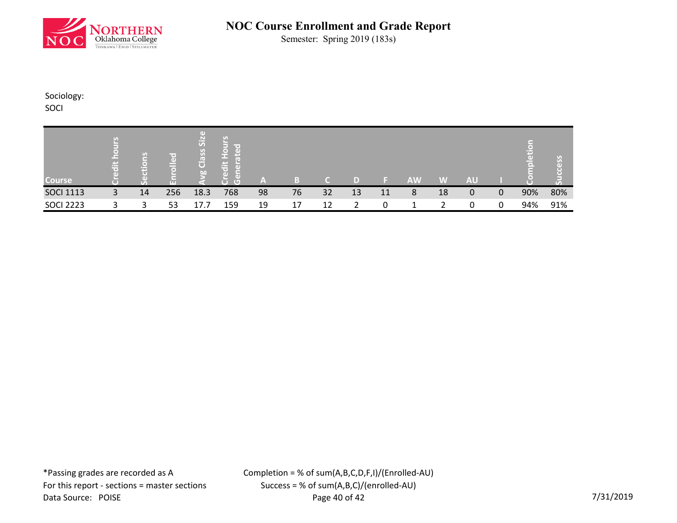

Semester: Spring 2019 (183s)

Sociology:

SOCI

| <b>Course</b>    | $\epsilon$<br>出 | ူ<br>$\circ$ | r⇔'<br>$\left( \mathbf{d} \right)$ | SiZ<br>Class<br>b | --<br>⋍<br><b>IG</b> | -  |    |    |    |    | <b>AW</b> | W  | <b>AU</b> |   |     |     |
|------------------|-----------------|--------------|------------------------------------|-------------------|----------------------|----|----|----|----|----|-----------|----|-----------|---|-----|-----|
| <b>SOCI 1113</b> | 3               | 14           | 256                                | 18.3              | 768                  | 98 | 76 | 32 | 13 | 11 | 8         | 18 | 0         | 0 | 90% | 80% |
| <b>SOCI 2223</b> |                 | 3            | 53                                 | 17.7              | 159                  | 19 | 17 | 12 |    | 0  |           | າ  | 0         | 0 | 94% | 91% |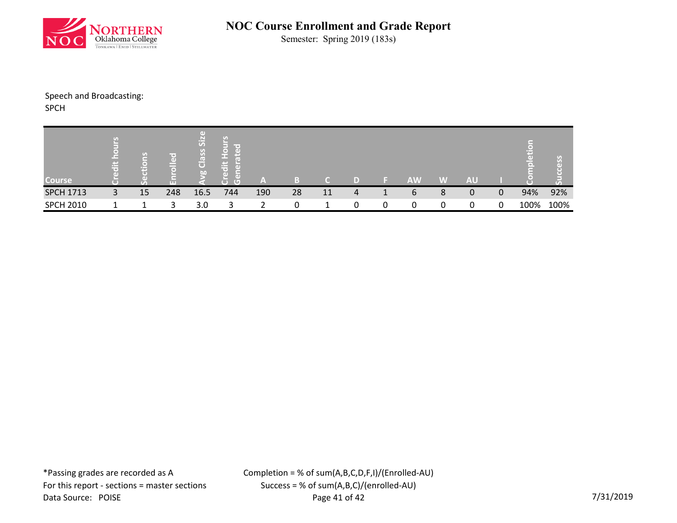

Semester: Spring 2019 (183s)

# Speech and Broadcasting:

SPCH

| <b>Course</b>    | m.<br>⊶<br>ــ | $\left( \mathcal{F}_{\mathcal{A}}\right)$ | ir e'<br>$\left( \mathbf{d} \right)$<br>ш | $\Box$<br>Si <sub>z</sub><br>Class<br>bo | - 1<br>œ<br>пF<br>۰D<br>$\sqrt{2}$ | <b>Section</b> |    |    |   |   | <b>AW</b> | W | <b>AU</b> |   |      |      |
|------------------|---------------|-------------------------------------------|-------------------------------------------|------------------------------------------|------------------------------------|----------------|----|----|---|---|-----------|---|-----------|---|------|------|
| <b>SPCH 1713</b> | 3             | 15                                        | 248                                       | 16.5                                     | 744                                | 190            | 28 | 11 | 4 |   | 6         | 8 | 0         | 0 | 94%  | 92%  |
| <b>SPCH 2010</b> |               |                                           | 3                                         | 3.0                                      | 3                                  |                |    |    | 0 | 0 | 0         | 0 | 0         | 0 | 100% | 100% |